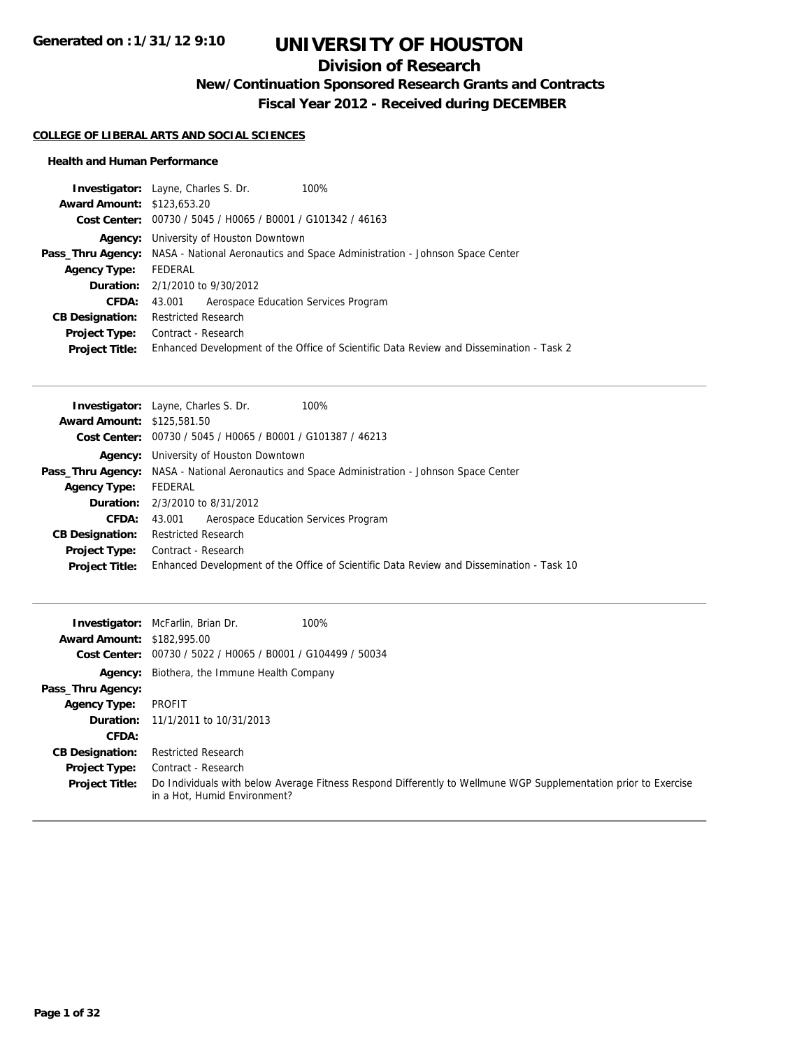## **Division of Research**

**New/Continuation Sponsored Research Grants and Contracts**

**Fiscal Year 2012 - Received during DECEMBER**

#### **COLLEGE OF LIBERAL ARTS AND SOCIAL SCIENCES**

#### **Health and Human Performance**

|                                   | <b>Investigator:</b> Layne, Charles S. Dr.<br>100%          |                                                                                                      |
|-----------------------------------|-------------------------------------------------------------|------------------------------------------------------------------------------------------------------|
| <b>Award Amount: \$123,653.20</b> |                                                             |                                                                                                      |
|                                   | Cost Center: 00730 / 5045 / H0065 / B0001 / G101342 / 46163 |                                                                                                      |
|                                   | <b>Agency:</b> University of Houston Downtown               |                                                                                                      |
|                                   |                                                             | <b>Pass_Thru Agency:</b> NASA - National Aeronautics and Space Administration - Johnson Space Center |
| <b>Agency Type:</b>               | FEDERAL                                                     |                                                                                                      |
|                                   | <b>Duration:</b> $2/1/2010$ to $9/30/2012$                  |                                                                                                      |
| CFDA:                             | Aerospace Education Services Program<br>43.001              |                                                                                                      |
| <b>CB Designation:</b>            | <b>Restricted Research</b>                                  |                                                                                                      |
| Project Type:                     | Contract - Research                                         |                                                                                                      |
| <b>Project Title:</b>             |                                                             | Enhanced Development of the Office of Scientific Data Review and Dissemination - Task 2              |
|                                   |                                                             |                                                                                                      |

|                                   | <b>Investigator:</b> Layne, Charles S. Dr.<br>100%                                                   |  |
|-----------------------------------|------------------------------------------------------------------------------------------------------|--|
| <b>Award Amount: \$125,581.50</b> |                                                                                                      |  |
|                                   | Cost Center: 00730 / 5045 / H0065 / B0001 / G101387 / 46213                                          |  |
|                                   | <b>Agency:</b> University of Houston Downtown                                                        |  |
|                                   | <b>Pass_Thru Agency:</b> NASA - National Aeronautics and Space Administration - Johnson Space Center |  |
| <b>Agency Type:</b>               | FEDERAL                                                                                              |  |
|                                   | <b>Duration:</b> $2/3/2010$ to $8/31/2012$                                                           |  |
| <b>CFDA:</b>                      | Aerospace Education Services Program<br>43.001                                                       |  |
| <b>CB Designation:</b>            | <b>Restricted Research</b>                                                                           |  |
| <b>Project Type:</b>              | Contract - Research                                                                                  |  |
| <b>Project Title:</b>             | Enhanced Development of the Office of Scientific Data Review and Dissemination - Task 10             |  |
|                                   |                                                                                                      |  |

|                                   | 100%<br><b>Investigator:</b> McFarlin, Brian Dr.                                                                                                |
|-----------------------------------|-------------------------------------------------------------------------------------------------------------------------------------------------|
| <b>Award Amount: \$182,995.00</b> |                                                                                                                                                 |
| Cost Center:                      | 00730 / 5022 / H0065 / B0001 / G104499 / 50034                                                                                                  |
| Agency:                           | Biothera, the Immune Health Company                                                                                                             |
| Pass_Thru Agency:                 |                                                                                                                                                 |
| <b>Agency Type:</b>               | PROFIT                                                                                                                                          |
|                                   | <b>Duration:</b> 11/1/2011 to 10/31/2013                                                                                                        |
| CFDA:                             |                                                                                                                                                 |
| <b>CB Designation:</b>            | <b>Restricted Research</b>                                                                                                                      |
| <b>Project Type:</b>              | Contract - Research                                                                                                                             |
| <b>Project Title:</b>             | Do Individuals with below Average Fitness Respond Differently to Wellmune WGP Supplementation prior to Exercise<br>in a Hot, Humid Environment? |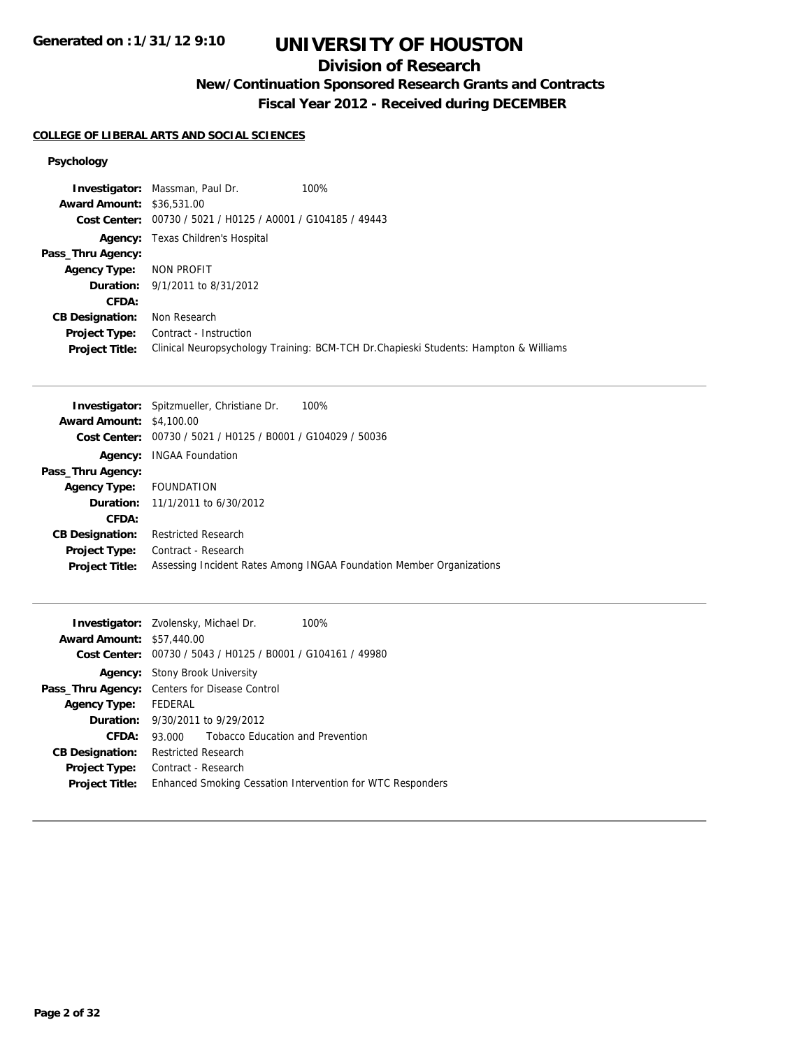## **Division of Research**

## **New/Continuation Sponsored Research Grants and Contracts**

**Fiscal Year 2012 - Received during DECEMBER**

## **COLLEGE OF LIBERAL ARTS AND SOCIAL SCIENCES**

## **Psychology**

|                                  | <b>Investigator:</b> Massman, Paul Dr.         | 100%                                                                                  |
|----------------------------------|------------------------------------------------|---------------------------------------------------------------------------------------|
| <b>Award Amount: \$36,531,00</b> |                                                |                                                                                       |
| Cost Center:                     | 00730 / 5021 / H0125 / A0001 / G104185 / 49443 |                                                                                       |
| Agency:                          | Texas Children's Hospital                      |                                                                                       |
| Pass_Thru Agency:                |                                                |                                                                                       |
| <b>Agency Type:</b>              | NON PROFIT                                     |                                                                                       |
|                                  | <b>Duration:</b> 9/1/2011 to 8/31/2012         |                                                                                       |
| CFDA:                            |                                                |                                                                                       |
| <b>CB Designation:</b>           | Non Research                                   |                                                                                       |
| Project Type:                    | Contract - Instruction                         |                                                                                       |
| <b>Project Title:</b>            |                                                | Clinical Neuropsychology Training: BCM-TCH Dr. Chapieski Students: Hampton & Williams |

|                                 | <b>Investigator:</b> Spitzmueller, Christiane Dr.<br>100%            |
|---------------------------------|----------------------------------------------------------------------|
| <b>Award Amount: \$4,100.00</b> |                                                                      |
|                                 | Cost Center: 00730 / 5021 / H0125 / B0001 / G104029 / 50036          |
|                                 | <b>Agency:</b> INGAA Foundation                                      |
| Pass_Thru Agency:               |                                                                      |
| Agency Type: FOUNDATION         |                                                                      |
|                                 | <b>Duration:</b> 11/1/2011 to 6/30/2012                              |
| CFDA:                           |                                                                      |
| <b>CB Designation:</b>          | <b>Restricted Research</b>                                           |
| <b>Project Type:</b>            | Contract - Research                                                  |
| <b>Project Title:</b>           | Assessing Incident Rates Among INGAA Foundation Member Organizations |
|                                 |                                                                      |

|                                  | <b>Investigator:</b> Zvolensky, Michael Dr.                 | 100%                                                       |
|----------------------------------|-------------------------------------------------------------|------------------------------------------------------------|
| <b>Award Amount: \$57,440.00</b> |                                                             |                                                            |
|                                  | Cost Center: 00730 / 5043 / H0125 / B0001 / G104161 / 49980 |                                                            |
|                                  | <b>Agency:</b> Stony Brook University                       |                                                            |
|                                  | <b>Pass_Thru Agency:</b> Centers for Disease Control        |                                                            |
| <b>Agency Type:</b>              | FEDERAL                                                     |                                                            |
|                                  | <b>Duration:</b> 9/30/2011 to 9/29/2012                     |                                                            |
| CFDA:                            | <b>Tobacco Education and Prevention</b><br>93.000           |                                                            |
| <b>CB Designation:</b>           | <b>Restricted Research</b>                                  |                                                            |
| <b>Project Type:</b>             | Contract - Research                                         |                                                            |
| <b>Project Title:</b>            |                                                             | Enhanced Smoking Cessation Intervention for WTC Responders |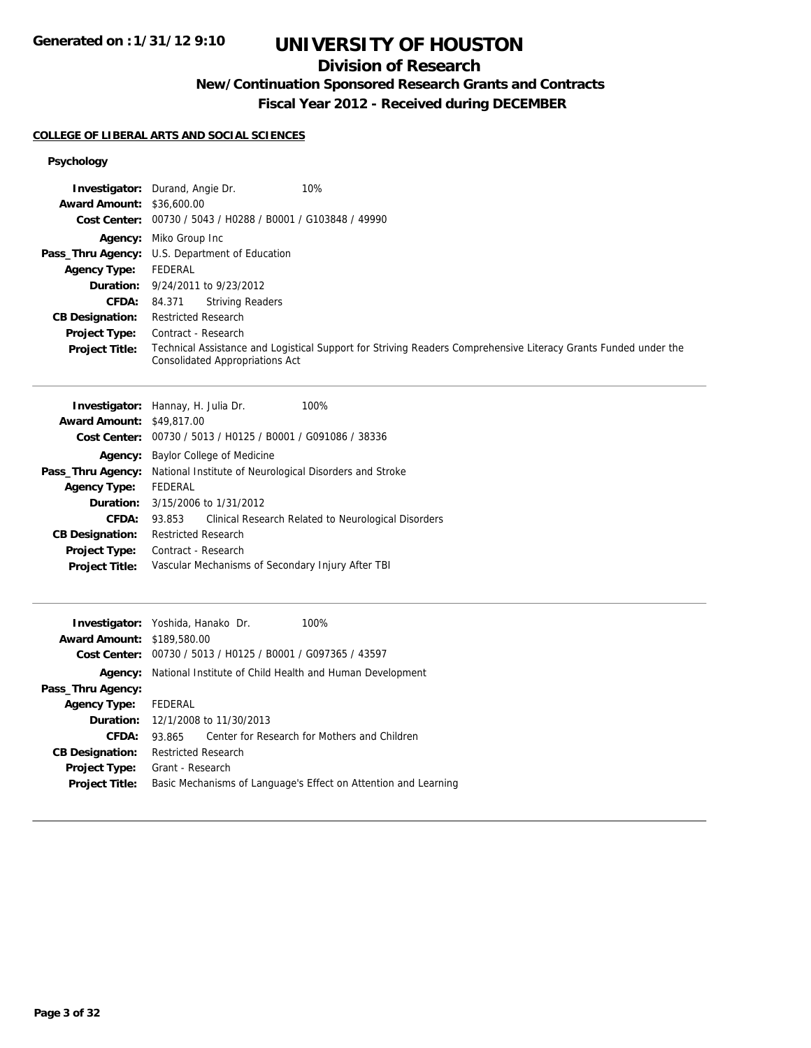## **Division of Research**

## **New/Continuation Sponsored Research Grants and Contracts**

**Fiscal Year 2012 - Received during DECEMBER**

## **COLLEGE OF LIBERAL ARTS AND SOCIAL SCIENCES**

## **Psychology**

|                                  | <b>Investigator:</b> Durand, Angie Dr.<br>10%                                                                                                      |
|----------------------------------|----------------------------------------------------------------------------------------------------------------------------------------------------|
| <b>Award Amount: \$36,600.00</b> |                                                                                                                                                    |
|                                  | Cost Center: 00730 / 5043 / H0288 / B0001 / G103848 / 49990                                                                                        |
|                                  | <b>Agency:</b> Miko Group Inc                                                                                                                      |
|                                  | <b>Pass_Thru Agency:</b> U.S. Department of Education                                                                                              |
| <b>Agency Type:</b>              | FEDERAL                                                                                                                                            |
|                                  | <b>Duration:</b> 9/24/2011 to 9/23/2012                                                                                                            |
| <b>CFDA:</b>                     | <b>Striving Readers</b><br>84.371                                                                                                                  |
| <b>CB Designation:</b>           | <b>Restricted Research</b>                                                                                                                         |
| <b>Project Type:</b>             | Contract - Research                                                                                                                                |
| <b>Project Title:</b>            | Technical Assistance and Logistical Support for Striving Readers Comprehensive Literacy Grants Funded under the<br>Consolidated Appropriations Act |

|                                  | Investigator: Hannay, H. Julia Dr.                          | 100%                                                |
|----------------------------------|-------------------------------------------------------------|-----------------------------------------------------|
| <b>Award Amount: \$49,817,00</b> |                                                             |                                                     |
|                                  | Cost Center: 00730 / 5013 / H0125 / B0001 / G091086 / 38336 |                                                     |
| Agency:                          | Baylor College of Medicine                                  |                                                     |
| Pass_Thru Agency:                | National Institute of Neurological Disorders and Stroke     |                                                     |
| <b>Agency Type:</b>              | FEDERAL                                                     |                                                     |
|                                  | <b>Duration:</b> 3/15/2006 to 1/31/2012                     |                                                     |
| CFDA:                            | 93.853                                                      | Clinical Research Related to Neurological Disorders |
| <b>CB Designation:</b>           | <b>Restricted Research</b>                                  |                                                     |
| <b>Project Type:</b>             | Contract - Research                                         |                                                     |
| <b>Project Title:</b>            | Vascular Mechanisms of Secondary Injury After TBI           |                                                     |
|                                  |                                                             |                                                     |

|                                   | Investigator: Yoshida, Hanako Dr.                           | 100%                                                            |
|-----------------------------------|-------------------------------------------------------------|-----------------------------------------------------------------|
| <b>Award Amount: \$189,580.00</b> |                                                             |                                                                 |
|                                   | Cost Center: 00730 / 5013 / H0125 / B0001 / G097365 / 43597 |                                                                 |
| Agency:                           | National Institute of Child Health and Human Development    |                                                                 |
| Pass_Thru Agency:                 |                                                             |                                                                 |
| Agency Type: FEDERAL              |                                                             |                                                                 |
|                                   | <b>Duration:</b> 12/1/2008 to 11/30/2013                    |                                                                 |
| CFDA:                             | 93.865                                                      | Center for Research for Mothers and Children                    |
| <b>CB Designation:</b>            | <b>Restricted Research</b>                                  |                                                                 |
| <b>Project Type:</b>              | Grant - Research                                            |                                                                 |
| <b>Project Title:</b>             |                                                             | Basic Mechanisms of Language's Effect on Attention and Learning |
|                                   |                                                             |                                                                 |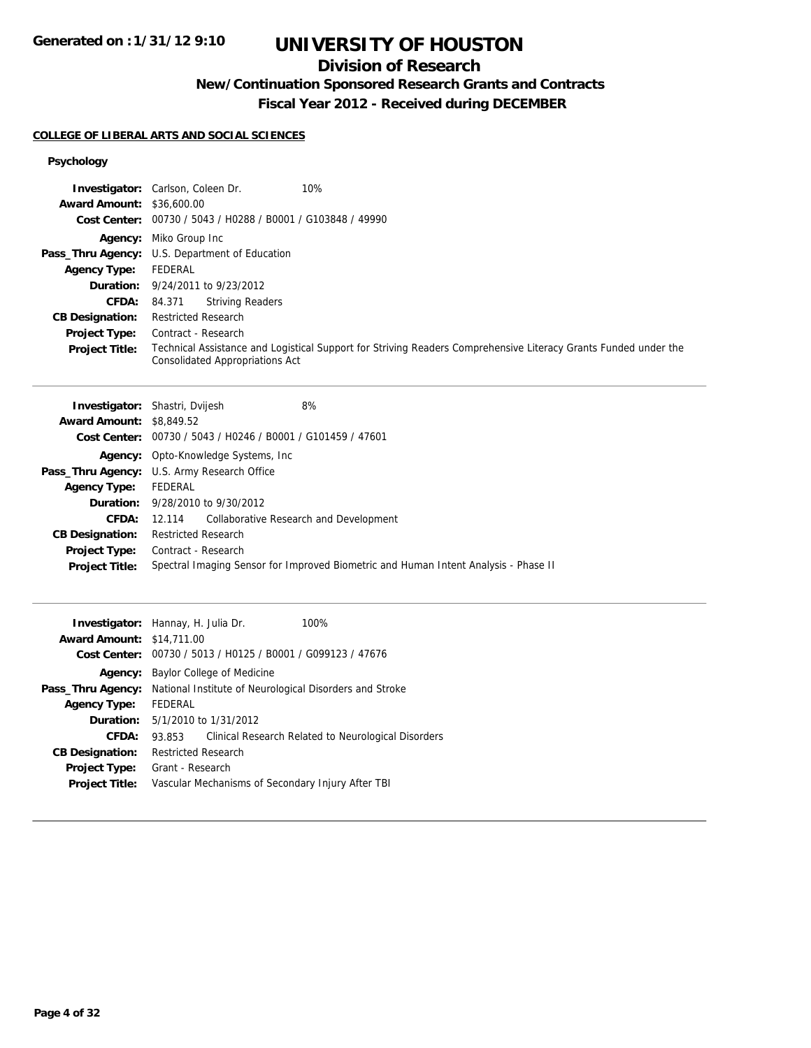## **Division of Research**

## **New/Continuation Sponsored Research Grants and Contracts**

**Fiscal Year 2012 - Received during DECEMBER**

## **COLLEGE OF LIBERAL ARTS AND SOCIAL SCIENCES**

## **Psychology**

|                                  | <b>Investigator:</b> Carlson, Coleen Dr.<br>10%                                                                                                           |
|----------------------------------|-----------------------------------------------------------------------------------------------------------------------------------------------------------|
| <b>Award Amount: \$36,600.00</b> |                                                                                                                                                           |
|                                  | Cost Center: 00730 / 5043 / H0288 / B0001 / G103848 / 49990                                                                                               |
|                                  | <b>Agency:</b> Miko Group Inc                                                                                                                             |
|                                  | <b>Pass_Thru Agency:</b> U.S. Department of Education                                                                                                     |
| <b>Agency Type:</b>              | FEDERAL                                                                                                                                                   |
|                                  | <b>Duration:</b> 9/24/2011 to 9/23/2012                                                                                                                   |
| <b>CFDA:</b>                     | <b>Striving Readers</b><br>84.371                                                                                                                         |
| <b>CB Designation:</b>           | <b>Restricted Research</b>                                                                                                                                |
| <b>Project Type:</b>             | Contract - Research                                                                                                                                       |
| <b>Project Title:</b>            | Technical Assistance and Logistical Support for Striving Readers Comprehensive Literacy Grants Funded under the<br><b>Consolidated Appropriations Act</b> |

|                                 | 8%<br><b>Investigator:</b> Shastri, Dvijesh                                         |  |
|---------------------------------|-------------------------------------------------------------------------------------|--|
| <b>Award Amount: \$8,849.52</b> |                                                                                     |  |
|                                 | Cost Center: 00730 / 5043 / H0246 / B0001 / G101459 / 47601                         |  |
|                                 | <b>Agency:</b> Opto-Knowledge Systems, Inc.                                         |  |
|                                 | <b>Pass_Thru Agency:</b> U.S. Army Research Office                                  |  |
| <b>Agency Type:</b>             | FEDERAL                                                                             |  |
|                                 | <b>Duration:</b> 9/28/2010 to 9/30/2012                                             |  |
| CFDA:                           | 12.114 Collaborative Research and Development                                       |  |
| <b>CB Designation:</b>          | <b>Restricted Research</b>                                                          |  |
| Project Type:                   | Contract - Research                                                                 |  |
| <b>Project Title:</b>           | Spectral Imaging Sensor for Improved Biometric and Human Intent Analysis - Phase II |  |
|                                 |                                                                                     |  |

|                                  | Investigator: Hannay, H. Julia Dr.<br>100%                    |  |
|----------------------------------|---------------------------------------------------------------|--|
| <b>Award Amount: \$14,711.00</b> |                                                               |  |
|                                  | Cost Center: 00730 / 5013 / H0125 / B0001 / G099123 / 47676   |  |
| Agency:                          | Baylor College of Medicine                                    |  |
| Pass_Thru Agency:                | National Institute of Neurological Disorders and Stroke       |  |
| <b>Agency Type:</b>              | FEDERAL                                                       |  |
|                                  | <b>Duration:</b> 5/1/2010 to 1/31/2012                        |  |
| CFDA:                            | Clinical Research Related to Neurological Disorders<br>93.853 |  |
| <b>CB Designation:</b>           | <b>Restricted Research</b>                                    |  |
| <b>Project Type:</b>             | Grant - Research                                              |  |
| <b>Project Title:</b>            | Vascular Mechanisms of Secondary Injury After TBI             |  |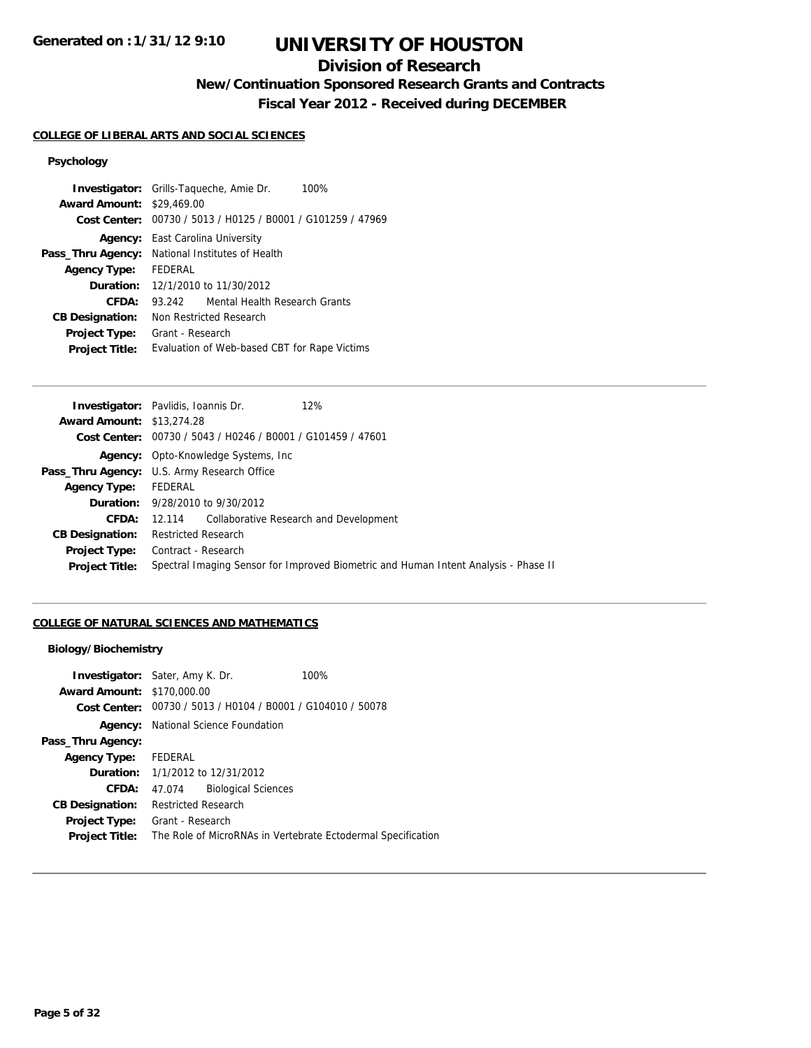## **Division of Research**

## **New/Continuation Sponsored Research Grants and Contracts**

**Fiscal Year 2012 - Received during DECEMBER**

## **COLLEGE OF LIBERAL ARTS AND SOCIAL SCIENCES**

## **Psychology**

|                                  | <b>Investigator:</b> Grills-Taqueche, Amie Dr.<br>100%      |  |  |
|----------------------------------|-------------------------------------------------------------|--|--|
| <b>Award Amount: \$29,469.00</b> |                                                             |  |  |
|                                  | Cost Center: 00730 / 5013 / H0125 / B0001 / G101259 / 47969 |  |  |
|                                  | <b>Agency:</b> East Carolina University                     |  |  |
| Pass_Thru Agency:                | National Institutes of Health                               |  |  |
| <b>Agency Type:</b>              | FEDERAL                                                     |  |  |
|                                  | <b>Duration:</b> 12/1/2010 to 11/30/2012                    |  |  |
| CFDA:                            | Mental Health Research Grants<br>93.242                     |  |  |
| <b>CB Designation:</b>           | Non Restricted Research                                     |  |  |
| <b>Project Type:</b>             | Grant - Research                                            |  |  |
| <b>Project Title:</b>            | Evaluation of Web-based CBT for Rape Victims                |  |  |
|                                  |                                                             |  |  |

|                                  | <b>Investigator:</b> Pavlidis, Ioannis Dr.                  | 12%                                                                                 |
|----------------------------------|-------------------------------------------------------------|-------------------------------------------------------------------------------------|
| <b>Award Amount: \$13,274.28</b> |                                                             |                                                                                     |
|                                  | Cost Center: 00730 / 5043 / H0246 / B0001 / G101459 / 47601 |                                                                                     |
|                                  | <b>Agency:</b> Opto-Knowledge Systems, Inc.                 |                                                                                     |
|                                  | <b>Pass_Thru Agency:</b> U.S. Army Research Office          |                                                                                     |
| <b>Agency Type:</b>              | FEDERAL                                                     |                                                                                     |
|                                  | <b>Duration:</b> 9/28/2010 to 9/30/2012                     |                                                                                     |
| CFDA:                            | 12.114 Collaborative Research and Development               |                                                                                     |
| <b>CB Designation:</b>           | <b>Restricted Research</b>                                  |                                                                                     |
|                                  | <b>Project Type:</b> Contract - Research                    |                                                                                     |
| <b>Project Title:</b>            |                                                             | Spectral Imaging Sensor for Improved Biometric and Human Intent Analysis - Phase II |
|                                  |                                                             |                                                                                     |

## **COLLEGE OF NATURAL SCIENCES AND MATHEMATICS**

#### **Biology/Biochemistry**

|                                   | <b>Investigator:</b> Sater, Amy K. Dr.                      | 100%                                                         |
|-----------------------------------|-------------------------------------------------------------|--------------------------------------------------------------|
| <b>Award Amount: \$170,000.00</b> |                                                             |                                                              |
|                                   | Cost Center: 00730 / 5013 / H0104 / B0001 / G104010 / 50078 |                                                              |
|                                   | <b>Agency:</b> National Science Foundation                  |                                                              |
| Pass_Thru Agency:                 |                                                             |                                                              |
| <b>Agency Type:</b>               | FEDERAL                                                     |                                                              |
|                                   | <b>Duration:</b> 1/1/2012 to 12/31/2012                     |                                                              |
| <b>CFDA:</b>                      | <b>Biological Sciences</b><br>47.074                        |                                                              |
| <b>CB Designation:</b>            | <b>Restricted Research</b>                                  |                                                              |
| <b>Project Type:</b>              | Grant - Research                                            |                                                              |
| <b>Project Title:</b>             |                                                             | The Role of MicroRNAs in Vertebrate Ectodermal Specification |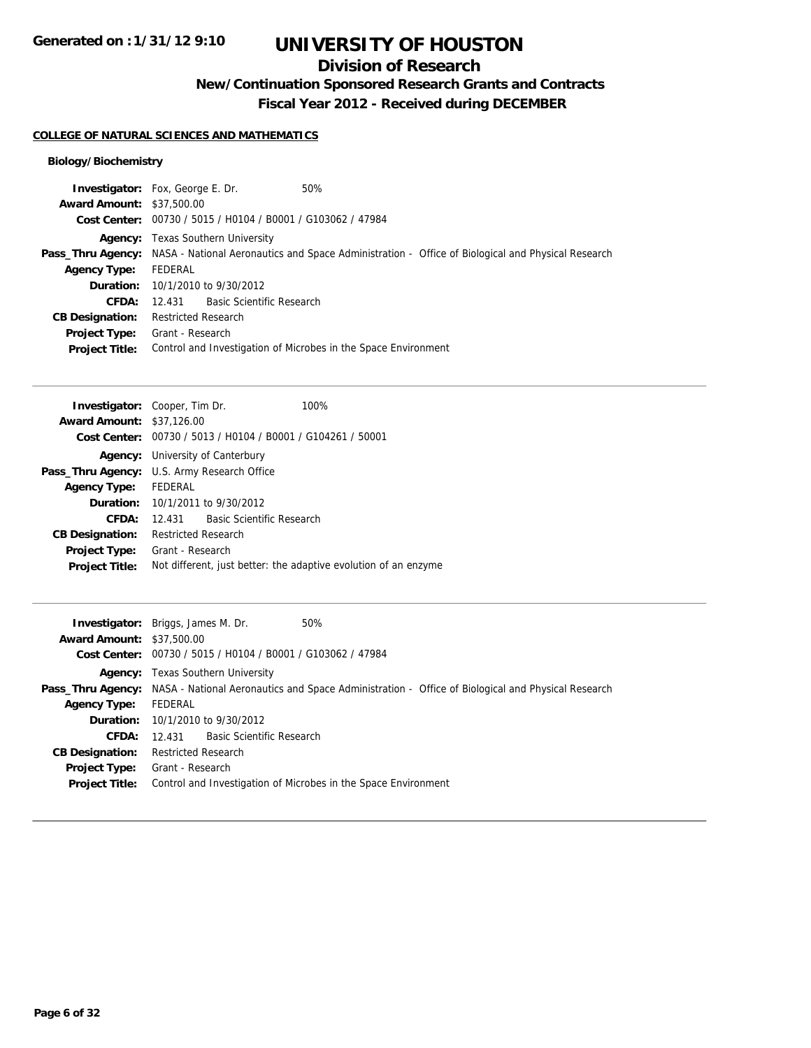## **Division of Research**

**New/Continuation Sponsored Research Grants and Contracts**

**Fiscal Year 2012 - Received during DECEMBER**

### **COLLEGE OF NATURAL SCIENCES AND MATHEMATICS**

## **Biology/Biochemistry**

| <b>Investigator:</b> Fox, George E. Dr. |                                          |                                  | 50%                                                                                                                 |
|-----------------------------------------|------------------------------------------|----------------------------------|---------------------------------------------------------------------------------------------------------------------|
| <b>Award Amount: \$37,500.00</b>        |                                          |                                  |                                                                                                                     |
|                                         |                                          |                                  | Cost Center: 00730 / 5015 / H0104 / B0001 / G103062 / 47984                                                         |
|                                         | <b>Agency:</b> Texas Southern University |                                  |                                                                                                                     |
|                                         |                                          |                                  | Pass_Thru Agency: NASA - National Aeronautics and Space Administration - Office of Biological and Physical Research |
| <b>Agency Type:</b>                     | FEDERAL                                  |                                  |                                                                                                                     |
|                                         | <b>Duration:</b> 10/1/2010 to 9/30/2012  |                                  |                                                                                                                     |
| <b>CFDA:</b>                            | 12.431                                   | <b>Basic Scientific Research</b> |                                                                                                                     |
| <b>CB Designation:</b>                  | <b>Restricted Research</b>               |                                  |                                                                                                                     |
| <b>Project Type:</b> Grant - Research   |                                          |                                  |                                                                                                                     |
| <b>Project Title:</b>                   |                                          |                                  | Control and Investigation of Microbes in the Space Environment                                                      |
|                                         |                                          |                                  |                                                                                                                     |

| <b>Investigator:</b> Cooper, Tim Dr.               |                            |                                                             | 100%                                                            |
|----------------------------------------------------|----------------------------|-------------------------------------------------------------|-----------------------------------------------------------------|
| <b>Award Amount: \$37,126.00</b>                   |                            |                                                             |                                                                 |
|                                                    |                            | Cost Center: 00730 / 5013 / H0104 / B0001 / G104261 / 50001 |                                                                 |
|                                                    |                            | <b>Agency:</b> University of Canterbury                     |                                                                 |
| <b>Pass_Thru Agency:</b> U.S. Army Research Office |                            |                                                             |                                                                 |
| Agency Type: FEDERAL                               |                            |                                                             |                                                                 |
|                                                    |                            | <b>Duration:</b> 10/1/2011 to 9/30/2012                     |                                                                 |
| CFDA:                                              | 12 4 3 1                   | <b>Basic Scientific Research</b>                            |                                                                 |
| <b>CB Designation:</b>                             | <b>Restricted Research</b> |                                                             |                                                                 |
| Project Type:                                      | Grant - Research           |                                                             |                                                                 |
| <b>Project Title:</b>                              |                            |                                                             | Not different, just better: the adaptive evolution of an enzyme |
|                                                    |                            |                                                             |                                                                 |

|                                  | 50%<br><b>Investigator:</b> Briggs, James M. Dr.                                                                    |
|----------------------------------|---------------------------------------------------------------------------------------------------------------------|
| <b>Award Amount: \$37,500.00</b> |                                                                                                                     |
|                                  | Cost Center: 00730 / 5015 / H0104 / B0001 / G103062 / 47984                                                         |
|                                  | <b>Agency:</b> Texas Southern University                                                                            |
|                                  | Pass_Thru Agency: NASA - National Aeronautics and Space Administration - Office of Biological and Physical Research |
| <b>Agency Type:</b>              | FEDERAL                                                                                                             |
|                                  | <b>Duration:</b> 10/1/2010 to 9/30/2012                                                                             |
| <b>CFDA:</b>                     | 12.431 Basic Scientific Research                                                                                    |
| <b>CB Designation:</b>           | <b>Restricted Research</b>                                                                                          |
| <b>Project Type:</b>             | Grant - Research                                                                                                    |
| <b>Project Title:</b>            | Control and Investigation of Microbes in the Space Environment                                                      |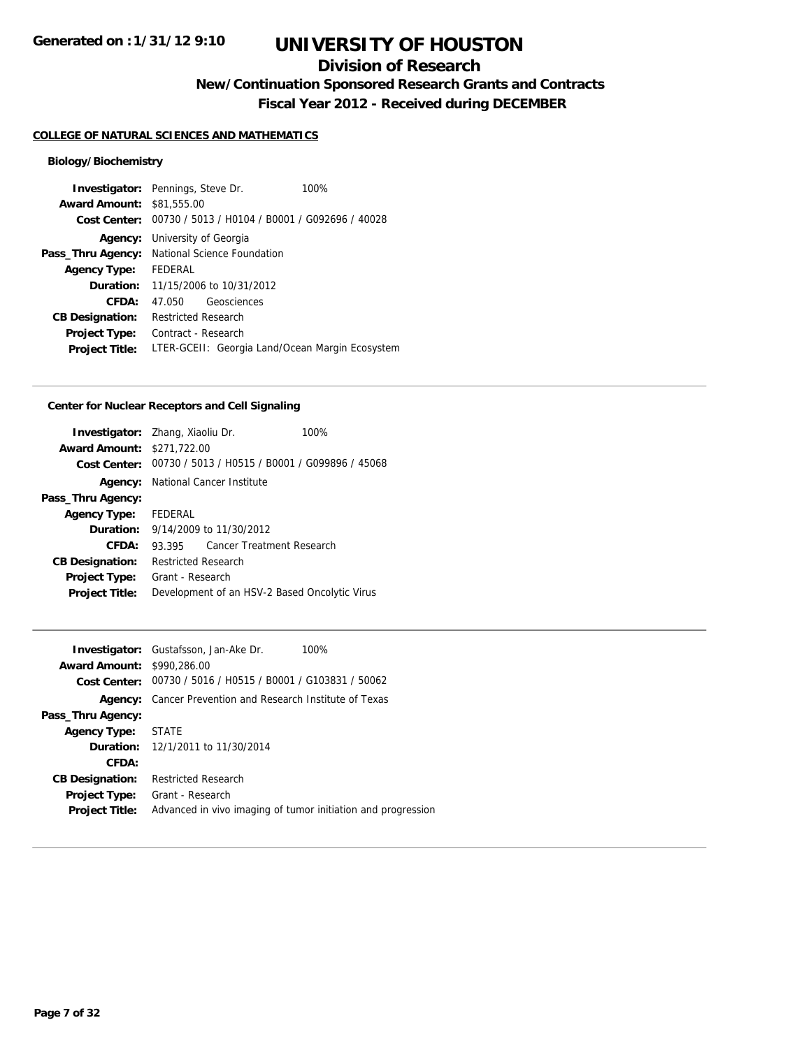## **Division of Research**

**New/Continuation Sponsored Research Grants and Contracts**

**Fiscal Year 2012 - Received during DECEMBER**

#### **COLLEGE OF NATURAL SCIENCES AND MATHEMATICS**

## **Biology/Biochemistry**

|                        | <b>Investigator:</b> Pennings, Steve Dr.  | 100%                                                        |
|------------------------|-------------------------------------------|-------------------------------------------------------------|
| <b>Award Amount:</b>   | \$81,555.00                               |                                                             |
|                        |                                           | Cost Center: 00730 / 5013 / H0104 / B0001 / G092696 / 40028 |
| Agency:                | University of Georgia                     |                                                             |
| Pass_Thru Agency:      | National Science Foundation               |                                                             |
| <b>Agency Type:</b>    | FEDERAL                                   |                                                             |
|                        | <b>Duration:</b> 11/15/2006 to 10/31/2012 |                                                             |
| CFDA:                  | Geosciences<br>47 050                     |                                                             |
| <b>CB Designation:</b> | <b>Restricted Research</b>                |                                                             |
| <b>Project Type:</b>   | Contract - Research                       |                                                             |
| <b>Project Title:</b>  |                                           | LTER-GCEII: Georgia Land/Ocean Margin Ecosystem             |

## **Center for Nuclear Receptors and Cell Signaling**

| <b>Award Amount: \$271,722.00</b> | <b>Investigator:</b> Zhang, Xiaoliu Dr.  | 100%                                                        |
|-----------------------------------|------------------------------------------|-------------------------------------------------------------|
|                                   |                                          | Cost Center: 00730 / 5013 / H0515 / B0001 / G099896 / 45068 |
|                                   | <b>Agency:</b> National Cancer Institute |                                                             |
| Pass_Thru Agency:                 |                                          |                                                             |
| Agency Type: FEDERAL              |                                          |                                                             |
|                                   | Duration: 9/14/2009 to 11/30/2012        |                                                             |
| CFDA:                             | 93.395                                   | Cancer Treatment Research                                   |
| <b>CB Designation:</b>            | <b>Restricted Research</b>               |                                                             |
| <b>Project Type:</b>              | Grant - Research                         |                                                             |
| <b>Project Title:</b>             |                                          | Development of an HSV-2 Based Oncolytic Virus               |
|                                   |                                          |                                                             |

|                                   | <b>Investigator:</b> Gustafsson, Jan-Ake Dr.<br>100%         |
|-----------------------------------|--------------------------------------------------------------|
| <b>Award Amount: \$990,286,00</b> |                                                              |
|                                   | Cost Center: 00730 / 5016 / H0515 / B0001 / G103831 / 50062  |
| Agency:                           | Cancer Prevention and Research Institute of Texas            |
| Pass_Thru Agency:                 |                                                              |
| Agency Type: STATE                |                                                              |
|                                   | <b>Duration:</b> 12/1/2011 to 11/30/2014                     |
| CFDA:                             |                                                              |
| <b>CB Designation:</b>            | <b>Restricted Research</b>                                   |
| Project Type:                     | Grant - Research                                             |
| <b>Project Title:</b>             | Advanced in vivo imaging of tumor initiation and progression |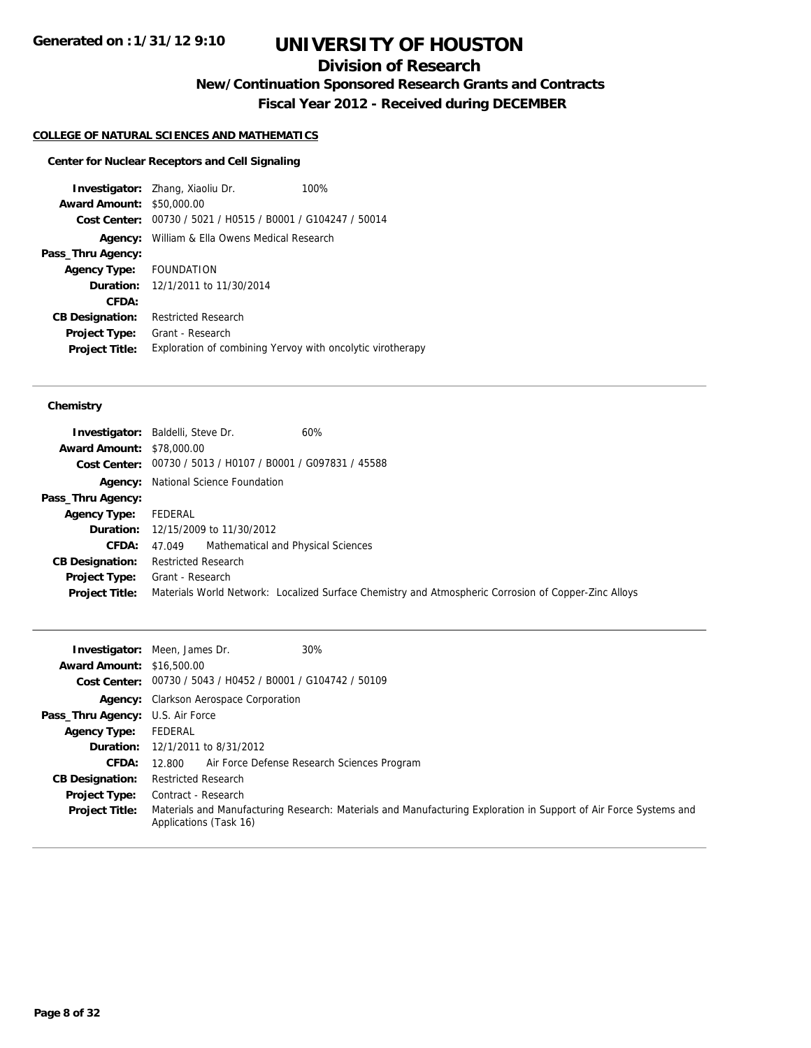## **Division of Research**

**New/Continuation Sponsored Research Grants and Contracts**

**Fiscal Year 2012 - Received during DECEMBER**

## **COLLEGE OF NATURAL SCIENCES AND MATHEMATICS**

#### **Center for Nuclear Receptors and Cell Signaling**

**Investigator:** Zhang, Xiaoliu Dr. 100% **Award Amount:** \$50,000.00 **Cost Center:** 00730 / 5021 / H0515 / B0001 / G104247 / 50014 **Agency:** William & Ella Owens Medical Research **Pass\_Thru Agency: Agency Type:** FOUNDATION **Duration:** 12/1/2011 to 11/30/2014 **CFDA: CB Designation:** Restricted Research **Project Type:** Grant - Research **Project Title:** Exploration of combining Yervoy with oncolytic virotherapy

#### **Chemistry**

|                                  | <b>Investigator:</b> Baldelli, Steve Dr.<br>60%                                                      |
|----------------------------------|------------------------------------------------------------------------------------------------------|
| <b>Award Amount: \$78,000.00</b> |                                                                                                      |
| Cost Center:                     | 00730 / 5013 / H0107 / B0001 / G097831 / 45588                                                       |
|                                  | <b>Agency:</b> National Science Foundation                                                           |
| Pass_Thru Agency:                |                                                                                                      |
| <b>Agency Type:</b>              | FEDERAL                                                                                              |
|                                  | <b>Duration:</b> 12/15/2009 to 11/30/2012                                                            |
| <b>CFDA:</b>                     | Mathematical and Physical Sciences<br>47.049                                                         |
| <b>CB Designation:</b>           | <b>Restricted Research</b>                                                                           |
| <b>Project Type:</b>             | Grant - Research                                                                                     |
| <b>Project Title:</b>            | Materials World Network: Localized Surface Chemistry and Atmospheric Corrosion of Copper-Zinc Alloys |

|                                         | 30%<br><b>Investigator:</b> Meen, James Dr.                                                                                                 |
|-----------------------------------------|---------------------------------------------------------------------------------------------------------------------------------------------|
| <b>Award Amount: \$16,500.00</b>        |                                                                                                                                             |
|                                         | Cost Center: 00730 / 5043 / H0452 / B0001 / G104742 / 50109                                                                                 |
|                                         | <b>Agency:</b> Clarkson Aerospace Corporation                                                                                               |
| <b>Pass_Thru Agency:</b> U.S. Air Force |                                                                                                                                             |
| <b>Agency Type:</b>                     | FEDERAL                                                                                                                                     |
|                                         | <b>Duration:</b> 12/1/2011 to 8/31/2012                                                                                                     |
| <b>CFDA:</b>                            | Air Force Defense Research Sciences Program<br>12.800                                                                                       |
| <b>CB Designation:</b>                  | <b>Restricted Research</b>                                                                                                                  |
| <b>Project Type:</b>                    | Contract - Research                                                                                                                         |
| <b>Project Title:</b>                   | Materials and Manufacturing Research: Materials and Manufacturing Exploration in Support of Air Force Systems and<br>Applications (Task 16) |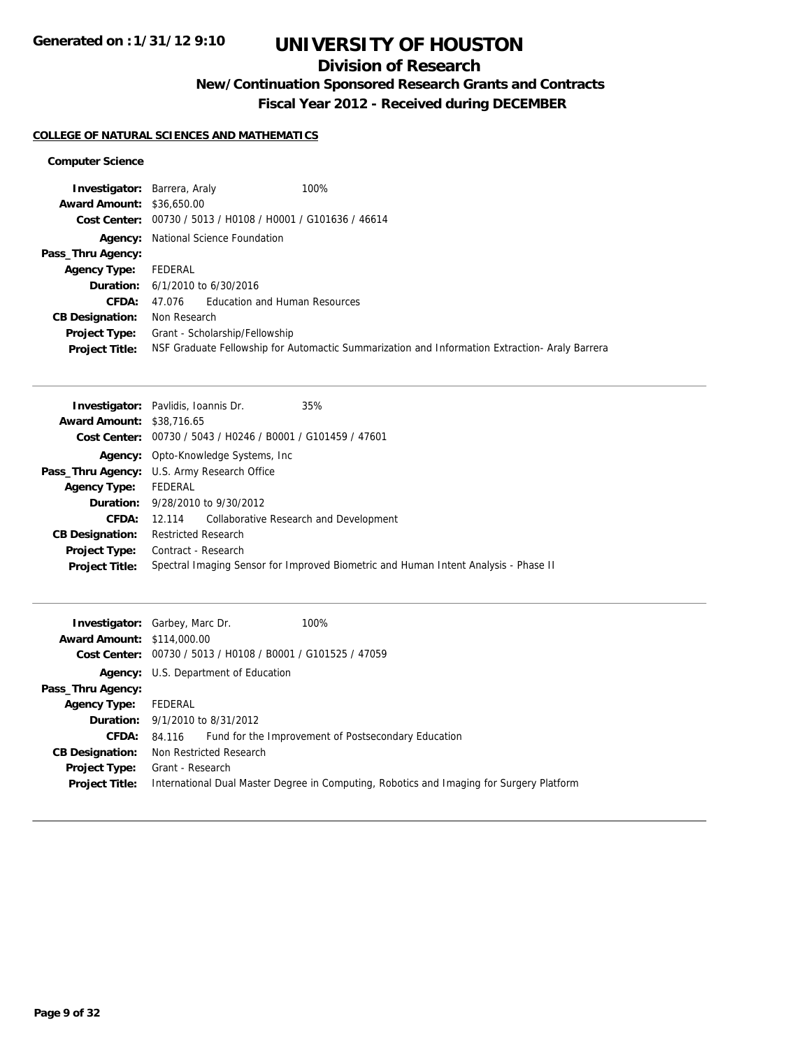## **Division of Research**

**New/Continuation Sponsored Research Grants and Contracts**

**Fiscal Year 2012 - Received during DECEMBER**

## **COLLEGE OF NATURAL SCIENCES AND MATHEMATICS**

### **Computer Science**

| <b>Investigator:</b> Barrera, Araly | 100%                                                                                          |  |
|-------------------------------------|-----------------------------------------------------------------------------------------------|--|
| <b>Award Amount: \$36,650.00</b>    |                                                                                               |  |
|                                     | Cost Center: 00730 / 5013 / H0108 / H0001 / G101636 / 46614                                   |  |
| Agency:                             | National Science Foundation                                                                   |  |
| Pass_Thru Agency:                   |                                                                                               |  |
| <b>Agency Type:</b>                 | FEDERAL                                                                                       |  |
|                                     | <b>Duration:</b> $6/1/2010$ to $6/30/2016$                                                    |  |
| CFDA:                               | <b>Education and Human Resources</b><br>47.076                                                |  |
| <b>CB Designation:</b>              | Non Research                                                                                  |  |
| Project Type:                       | Grant - Scholarship/Fellowship                                                                |  |
| <b>Project Title:</b>               | NSF Graduate Fellowship for Automactic Summarization and Information Extraction-Araly Barrera |  |

|                                  | <b>Investigator:</b> Pavlidis, Ioannis Dr.                  | 35%                                                                                 |
|----------------------------------|-------------------------------------------------------------|-------------------------------------------------------------------------------------|
| <b>Award Amount: \$38,716.65</b> |                                                             |                                                                                     |
|                                  | Cost Center: 00730 / 5043 / H0246 / B0001 / G101459 / 47601 |                                                                                     |
|                                  | <b>Agency:</b> Opto-Knowledge Systems, Inc.                 |                                                                                     |
|                                  | <b>Pass_Thru Agency:</b> U.S. Army Research Office          |                                                                                     |
| <b>Agency Type:</b>              | FEDERAL                                                     |                                                                                     |
|                                  | <b>Duration:</b> 9/28/2010 to 9/30/2012                     |                                                                                     |
| CFDA:                            | 12.114 Collaborative Research and Development               |                                                                                     |
| <b>CB Designation:</b>           | <b>Restricted Research</b>                                  |                                                                                     |
| <b>Project Type:</b>             | Contract - Research                                         |                                                                                     |
| <b>Project Title:</b>            |                                                             | Spectral Imaging Sensor for Improved Biometric and Human Intent Analysis - Phase II |

| <b>Award Amount: \$114,000.00</b>             | 100%<br><b>Investigator:</b> Garbey, Marc Dr.<br>Cost Center: 00730 / 5013 / H0108 / B0001 / G101525 / 47059 |
|-----------------------------------------------|--------------------------------------------------------------------------------------------------------------|
|                                               | <b>Agency:</b> U.S. Department of Education                                                                  |
| Pass_Thru Agency:                             |                                                                                                              |
| <b>Agency Type:</b>                           | FEDERAL                                                                                                      |
|                                               | <b>Duration:</b> $9/1/2010$ to $8/31/2012$                                                                   |
| CFDA:                                         | 84.116 Fund for the Improvement of Postsecondary Education                                                   |
| <b>CB Designation:</b>                        | Non Restricted Research                                                                                      |
| <b>Project Type:</b><br><b>Project Title:</b> | Grant - Research<br>International Dual Master Degree in Computing, Robotics and Imaging for Surgery Platform |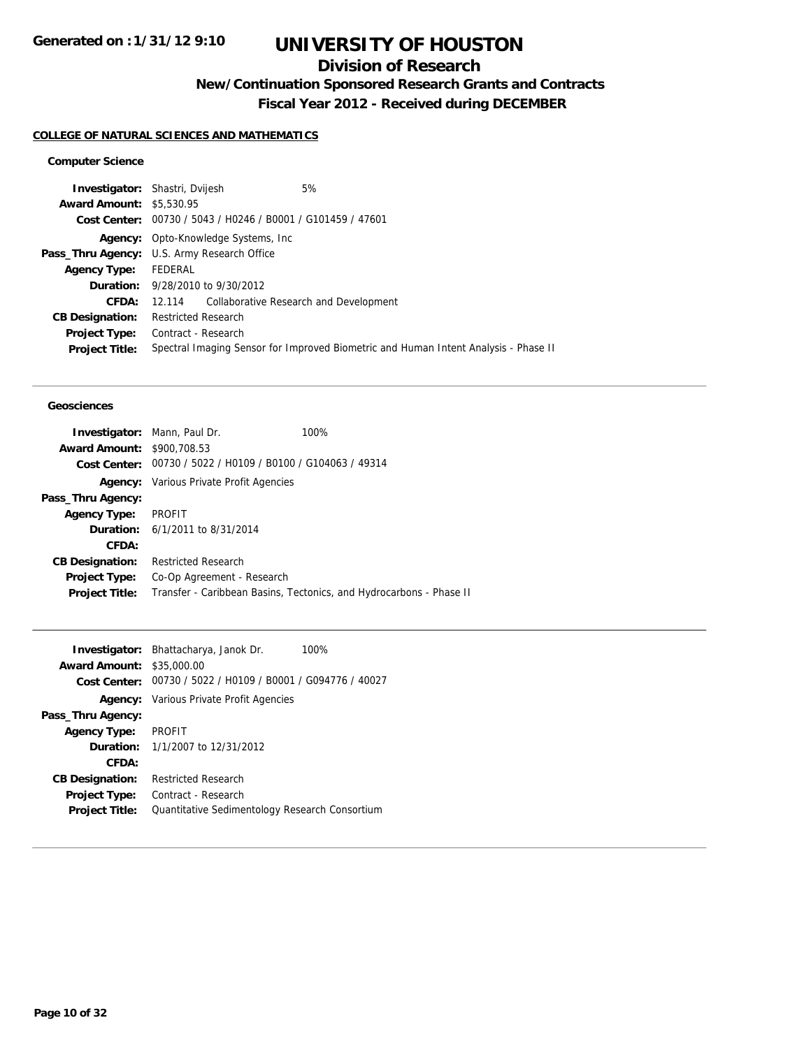## **Division of Research**

**New/Continuation Sponsored Research Grants and Contracts**

**Fiscal Year 2012 - Received during DECEMBER**

## **COLLEGE OF NATURAL SCIENCES AND MATHEMATICS**

### **Computer Science**

|                                 | <b>Investigator:</b> Shastri, Dvijesh                       | 5%                                                                                  |
|---------------------------------|-------------------------------------------------------------|-------------------------------------------------------------------------------------|
| <b>Award Amount: \$5,530.95</b> |                                                             |                                                                                     |
|                                 | Cost Center: 00730 / 5043 / H0246 / B0001 / G101459 / 47601 |                                                                                     |
|                                 | <b>Agency:</b> Opto-Knowledge Systems, Inc.                 |                                                                                     |
|                                 | <b>Pass_Thru Agency:</b> U.S. Army Research Office          |                                                                                     |
| <b>Agency Type:</b>             | FEDERAL                                                     |                                                                                     |
|                                 | <b>Duration:</b> 9/28/2010 to 9/30/2012                     |                                                                                     |
| CFDA:                           | 12.114                                                      | Collaborative Research and Development                                              |
| <b>CB Designation:</b>          | <b>Restricted Research</b>                                  |                                                                                     |
| Project Type:                   | Contract - Research                                         |                                                                                     |
| <b>Project Title:</b>           |                                                             | Spectral Imaging Sensor for Improved Biometric and Human Intent Analysis - Phase II |
|                                 |                                                             |                                                                                     |

| <b>Investigator:</b> Mann, Paul Dr. |                                                             | 100%                                                                |
|-------------------------------------|-------------------------------------------------------------|---------------------------------------------------------------------|
| <b>Award Amount: \$900.708.53</b>   |                                                             |                                                                     |
|                                     | Cost Center: 00730 / 5022 / H0109 / B0100 / G104063 / 49314 |                                                                     |
|                                     | <b>Agency:</b> Various Private Profit Agencies              |                                                                     |
| Pass_Thru Agency:                   |                                                             |                                                                     |
| <b>Agency Type:</b>                 | PROFIT                                                      |                                                                     |
|                                     | <b>Duration:</b> 6/1/2011 to 8/31/2014                      |                                                                     |
| CFDA:                               |                                                             |                                                                     |
| <b>CB Designation:</b>              | <b>Restricted Research</b>                                  |                                                                     |
| Project Type:                       | Co-Op Agreement - Research                                  |                                                                     |
| <b>Project Title:</b>               |                                                             | Transfer - Caribbean Basins, Tectonics, and Hydrocarbons - Phase II |
|                                     |                                                             |                                                                     |

|                                  | <b>Investigator:</b> Bhattacharya, Janok Dr.<br>100%        |
|----------------------------------|-------------------------------------------------------------|
| <b>Award Amount: \$35,000.00</b> |                                                             |
|                                  | Cost Center: 00730 / 5022 / H0109 / B0001 / G094776 / 40027 |
|                                  | <b>Agency:</b> Various Private Profit Agencies              |
| Pass_Thru Agency:                |                                                             |
| <b>Agency Type:</b>              | PROFIT                                                      |
|                                  | <b>Duration:</b> $1/1/2007$ to $12/31/2012$                 |
| CFDA:                            |                                                             |
| <b>CB Designation:</b>           | <b>Restricted Research</b>                                  |
| Project Type:                    | Contract - Research                                         |
| <b>Project Title:</b>            | Quantitative Sedimentology Research Consortium              |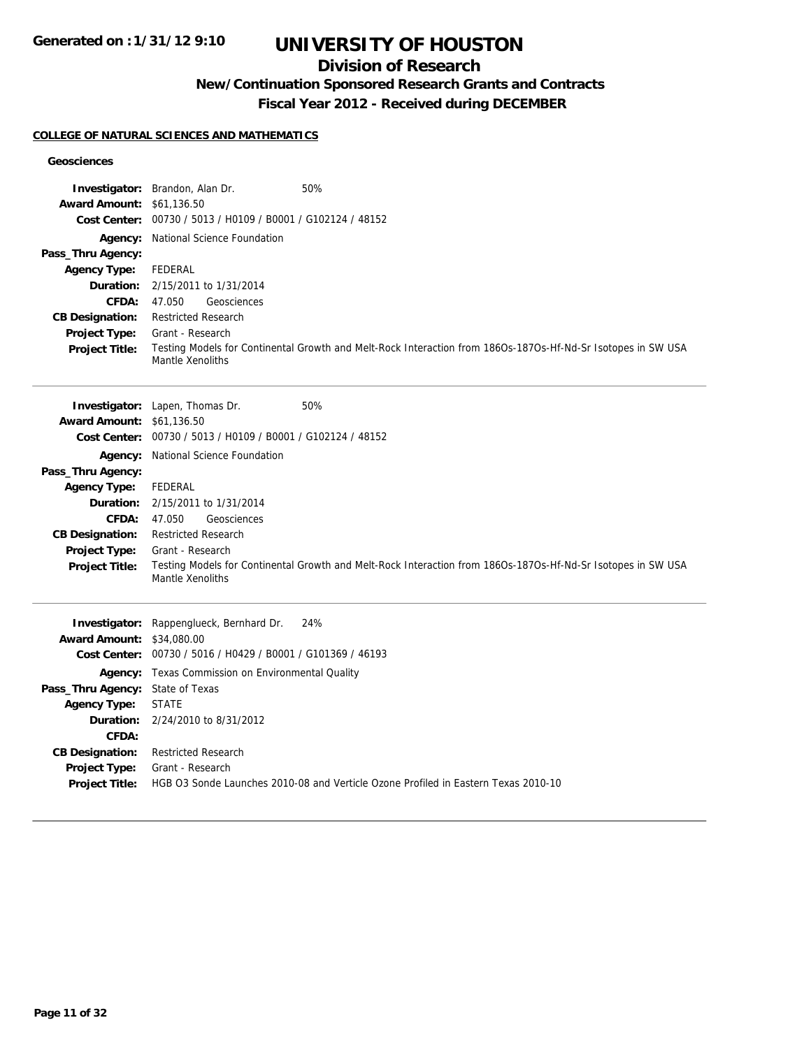## **Division of Research**

## **New/Continuation Sponsored Research Grants and Contracts**

**Fiscal Year 2012 - Received during DECEMBER**

## **COLLEGE OF NATURAL SCIENCES AND MATHEMATICS**

| Award Amount: \$61,136.50<br>Pass_Thru Agency:<br><b>Agency Type:</b><br>Duration:<br>CFDA: | 50%<br>Investigator: Brandon, Alan Dr.<br>Cost Center: 00730 / 5013 / H0109 / B0001 / G102124 / 48152<br>Agency: National Science Foundation<br>FEDERAL<br>2/15/2011 to 1/31/2014<br>47.050<br>Geosciences |
|---------------------------------------------------------------------------------------------|------------------------------------------------------------------------------------------------------------------------------------------------------------------------------------------------------------|
| <b>CB Designation:</b><br>Project Type:                                                     | <b>Restricted Research</b><br>Grant - Research                                                                                                                                                             |
| Project Title:                                                                              | Testing Models for Continental Growth and Melt-Rock Interaction from 186Os-187Os-Hf-Nd-Sr Isotopes in SW USA<br>Mantle Xenoliths                                                                           |
| <b>Award Amount: \$61,136.50</b>                                                            | 50%<br>Investigator: Lapen, Thomas Dr.                                                                                                                                                                     |
|                                                                                             | Cost Center: 00730 / 5013 / H0109 / B0001 / G102124 / 48152                                                                                                                                                |
|                                                                                             | Agency: National Science Foundation                                                                                                                                                                        |
| Pass_Thru Agency:<br><b>Agency Type:</b>                                                    | FEDERAL                                                                                                                                                                                                    |
|                                                                                             | <b>Duration:</b> 2/15/2011 to 1/31/2014                                                                                                                                                                    |
| CFDA:                                                                                       | Geosciences<br>47.050                                                                                                                                                                                      |
| <b>CB Designation:</b>                                                                      | <b>Restricted Research</b>                                                                                                                                                                                 |
| Project Type:<br><b>Project Title:</b>                                                      | Grant - Research<br>Testing Models for Continental Growth and Melt-Rock Interaction from 186Os-187Os-Hf-Nd-Sr Isotopes in SW USA<br>Mantle Xenoliths                                                       |
| Award Amount: \$34,080.00                                                                   | 24%<br>Investigator: Rappenglueck, Bernhard Dr.<br>Cost Center: 00730 / 5016 / H0429 / B0001 / G101369 / 46193                                                                                             |
|                                                                                             | Agency: Texas Commission on Environmental Quality                                                                                                                                                          |
| Pass_Thru Agency: State of Texas<br><b>Agency Type:</b>                                     | <b>STATE</b>                                                                                                                                                                                               |
| Duration:                                                                                   | 2/24/2010 to 8/31/2012                                                                                                                                                                                     |
| <b>CFDA:</b>                                                                                |                                                                                                                                                                                                            |
| <b>CB Designation:</b><br>Project Type:                                                     | <b>Restricted Research</b><br>Grant - Research                                                                                                                                                             |
| Project Title:                                                                              | HGB 03 Sonde Launches 2010-08 and Verticle Ozone Profiled in Eastern Texas 2010-10                                                                                                                         |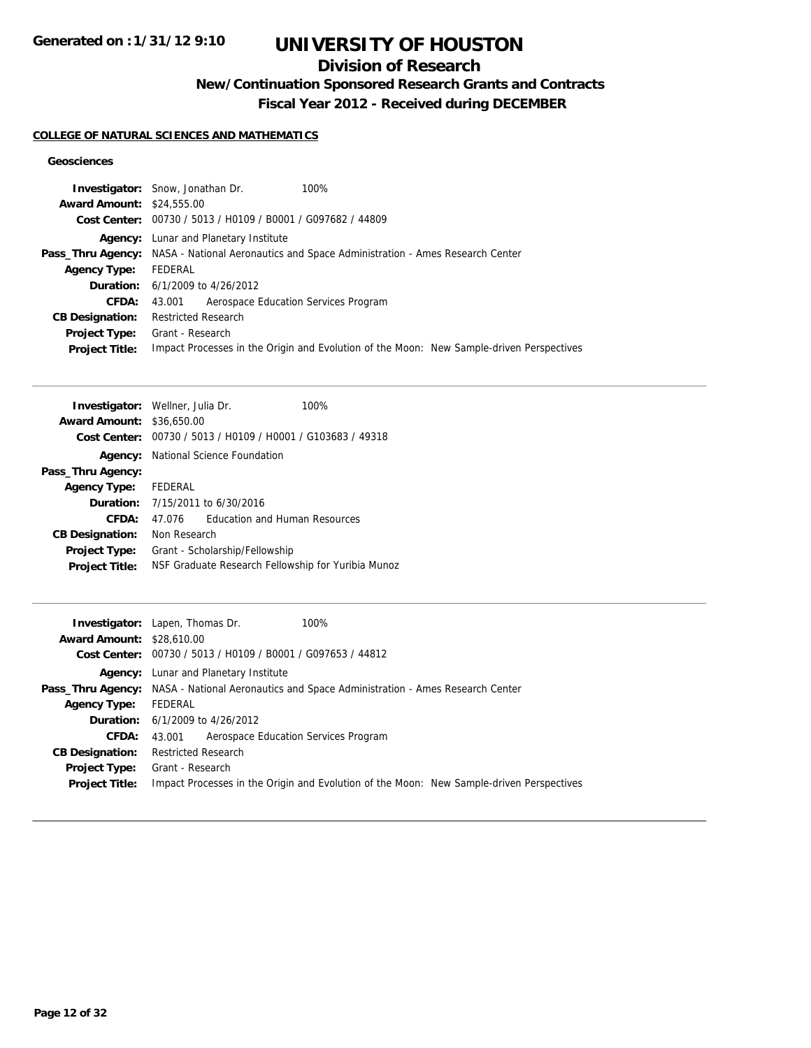## **Division of Research**

## **New/Continuation Sponsored Research Grants and Contracts**

**Fiscal Year 2012 - Received during DECEMBER**

#### **COLLEGE OF NATURAL SCIENCES AND MATHEMATICS**

|                                  | <b>Investigator:</b> Snow, Jonathan Dr.<br>100%                                                      |
|----------------------------------|------------------------------------------------------------------------------------------------------|
| <b>Award Amount: \$24,555.00</b> |                                                                                                      |
|                                  | Cost Center: 00730 / 5013 / H0109 / B0001 / G097682 / 44809                                          |
|                                  | <b>Agency:</b> Lunar and Planetary Institute                                                         |
|                                  | <b>Pass_Thru Agency:</b> NASA - National Aeronautics and Space Administration - Ames Research Center |
| <b>Agency Type:</b>              | FEDERAL                                                                                              |
|                                  | <b>Duration:</b> $6/1/2009$ to $4/26/2012$                                                           |
| <b>CFDA:</b>                     | Aerospace Education Services Program<br>43.001                                                       |
| <b>CB Designation:</b>           | <b>Restricted Research</b>                                                                           |
|                                  | <b>Project Type:</b> Grant - Research                                                                |
| <b>Project Title:</b>            | Impact Processes in the Origin and Evolution of the Moon: New Sample-driven Perspectives             |
|                                  |                                                                                                      |

|                                                             |  | 100%                                                                                                                                                                                                    |
|-------------------------------------------------------------|--|---------------------------------------------------------------------------------------------------------------------------------------------------------------------------------------------------------|
|                                                             |  |                                                                                                                                                                                                         |
| Cost Center: 00730 / 5013 / H0109 / H0001 / G103683 / 49318 |  |                                                                                                                                                                                                         |
|                                                             |  |                                                                                                                                                                                                         |
|                                                             |  |                                                                                                                                                                                                         |
| FEDERAL                                                     |  |                                                                                                                                                                                                         |
|                                                             |  |                                                                                                                                                                                                         |
| 47.076                                                      |  | <b>Education and Human Resources</b>                                                                                                                                                                    |
|                                                             |  |                                                                                                                                                                                                         |
|                                                             |  |                                                                                                                                                                                                         |
|                                                             |  | NSF Graduate Research Fellowship for Yuribia Munoz                                                                                                                                                      |
|                                                             |  | <b>Investigator:</b> Wellner, Julia Dr.<br><b>Award Amount: \$36,650.00</b><br>National Science Foundation<br><b>Duration:</b> 7/15/2011 to 6/30/2016<br>Non Research<br>Grant - Scholarship/Fellowship |

|                                  | <b>Investigator:</b> Lapen, Thomas Dr.<br>100%                                                       |
|----------------------------------|------------------------------------------------------------------------------------------------------|
| <b>Award Amount: \$28,610.00</b> |                                                                                                      |
|                                  | Cost Center: 00730 / 5013 / H0109 / B0001 / G097653 / 44812                                          |
|                                  | <b>Agency:</b> Lunar and Planetary Institute                                                         |
|                                  | <b>Pass_Thru Agency:</b> NASA - National Aeronautics and Space Administration - Ames Research Center |
| <b>Agency Type:</b>              | FEDERAL                                                                                              |
|                                  | <b>Duration:</b> 6/1/2009 to 4/26/2012                                                               |
| <b>CFDA:</b>                     | 43.001 Aerospace Education Services Program                                                          |
| <b>CB Designation:</b>           | <b>Restricted Research</b>                                                                           |
| <b>Project Type:</b>             | Grant - Research                                                                                     |
| <b>Project Title:</b>            | Impact Processes in the Origin and Evolution of the Moon: New Sample-driven Perspectives             |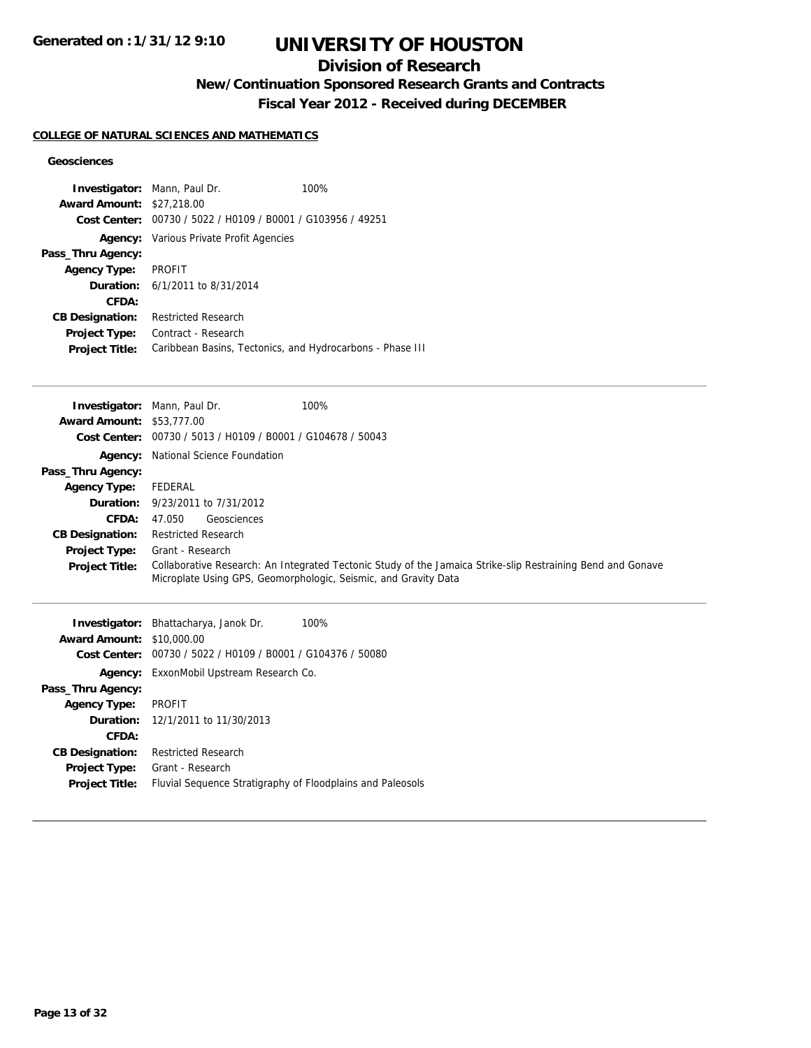## **Division of Research**

## **New/Continuation Sponsored Research Grants and Contracts**

**Fiscal Year 2012 - Received during DECEMBER**

## **COLLEGE OF NATURAL SCIENCES AND MATHEMATICS**

| <b>Award Amount: \$27,218.00</b><br>Cost Center: | <b>Investigator:</b> Mann, Paul Dr.<br>00730 / 5022 / H0109 / B0001 / G103956 / 49251 | 100%                                                      |
|--------------------------------------------------|---------------------------------------------------------------------------------------|-----------------------------------------------------------|
|                                                  |                                                                                       |                                                           |
| Agency:<br>Pass_Thru Agency:                     | Various Private Profit Agencies                                                       |                                                           |
| <b>Agency Type:</b>                              | <b>PROFIT</b>                                                                         |                                                           |
| <b>Duration:</b>                                 | 6/1/2011 to 8/31/2014                                                                 |                                                           |
| CFDA:                                            |                                                                                       |                                                           |
| <b>CB Designation:</b>                           | <b>Restricted Research</b>                                                            |                                                           |
| <b>Project Type:</b>                             | Contract - Research                                                                   |                                                           |
|                                                  |                                                                                       | Caribbean Basins, Tectonics, and Hydrocarbons - Phase III |
|                                                  |                                                                                       |                                                           |
| <b>Project Title:</b>                            |                                                                                       |                                                           |
|                                                  | <b>Investigator:</b> Mann, Paul Dr.                                                   | 100%                                                      |
| <b>Award Amount: \$53,777.00</b>                 |                                                                                       |                                                           |
| <b>Cost Center:</b>                              | 00730 / 5013 / H0109 / B0001 / G104678 / 50043                                        |                                                           |
| Agency:                                          | National Science Foundation                                                           |                                                           |
| Pass_Thru Agency:                                |                                                                                       |                                                           |
| <b>Agency Type:</b>                              | FEDERAL                                                                               |                                                           |
|                                                  | <b>Duration:</b> 9/23/2011 to 7/31/2012                                               |                                                           |
| CFDA:                                            | Geosciences<br>47.050                                                                 |                                                           |
| <b>CB Designation:</b>                           | <b>Restricted Research</b>                                                            |                                                           |

|                       | <b>Project Type:</b> Grant - Research                                                                       |
|-----------------------|-------------------------------------------------------------------------------------------------------------|
| <b>Project Title:</b> | Collaborative Research: An Integrated Tectonic Study of the Jamaica Strike-slip Restraining Bend and Gonave |
|                       | Microplate Using GPS, Geomorphologic, Seismic, and Gravity Data                                             |

|                                  | 100%<br><b>Investigator:</b> Bhattacharya, Janok Dr.        |
|----------------------------------|-------------------------------------------------------------|
| <b>Award Amount: \$10,000.00</b> |                                                             |
|                                  | Cost Center: 00730 / 5022 / H0109 / B0001 / G104376 / 50080 |
|                                  | <b>Agency:</b> ExxonMobil Upstream Research Co.             |
| Pass_Thru Agency:                |                                                             |
| Agency Type: PROFIT              |                                                             |
|                                  | <b>Duration:</b> 12/1/2011 to 11/30/2013                    |
| CFDA:                            |                                                             |
| <b>CB Designation:</b>           | <b>Restricted Research</b>                                  |
| Project Type:                    | Grant - Research                                            |
| <b>Project Title:</b>            | Fluvial Sequence Stratigraphy of Floodplains and Paleosols  |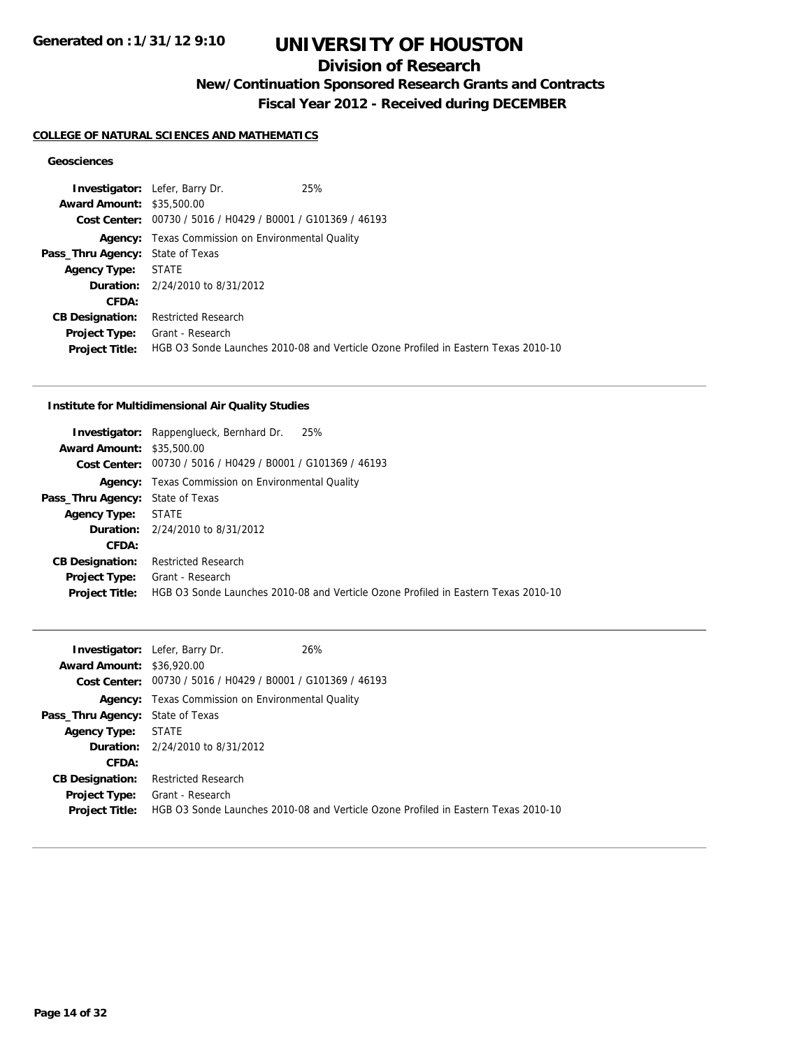## **Division of Research**

**New/Continuation Sponsored Research Grants and Contracts**

**Fiscal Year 2012 - Received during DECEMBER**

#### **COLLEGE OF NATURAL SCIENCES AND MATHEMATICS**

### **Geosciences**

|                                         | 25%<br><b>Investigator:</b> Lefer, Barry Dr.                |                                                                                    |
|-----------------------------------------|-------------------------------------------------------------|------------------------------------------------------------------------------------|
| <b>Award Amount: \$35,500.00</b>        |                                                             |                                                                                    |
|                                         | Cost Center: 00730 / 5016 / H0429 / B0001 / G101369 / 46193 |                                                                                    |
|                                         | <b>Agency:</b> Texas Commission on Environmental Quality    |                                                                                    |
| <b>Pass_Thru Agency:</b> State of Texas |                                                             |                                                                                    |
| <b>Agency Type: STATE</b>               |                                                             |                                                                                    |
|                                         | <b>Duration:</b> 2/24/2010 to 8/31/2012                     |                                                                                    |
| CFDA:                                   |                                                             |                                                                                    |
| <b>CB Designation:</b>                  | <b>Restricted Research</b>                                  |                                                                                    |
| Project Type:                           | Grant - Research                                            |                                                                                    |
| <b>Project Title:</b>                   |                                                             | HGB 03 Sonde Launches 2010-08 and Verticle Ozone Profiled in Eastern Texas 2010-10 |

#### **Institute for Multidimensional Air Quality Studies**

| <b>Award Amount: \$35,500.00</b>        | 25%<br><b>Investigator:</b> Rappenglueck, Bernhard Dr.                             |
|-----------------------------------------|------------------------------------------------------------------------------------|
|                                         | Cost Center: 00730 / 5016 / H0429 / B0001 / G101369 / 46193                        |
|                                         | <b>Agency:</b> Texas Commission on Environmental Quality                           |
| <b>Pass_Thru Agency:</b> State of Texas |                                                                                    |
| <b>Agency Type: STATE</b>               |                                                                                    |
|                                         | <b>Duration:</b> $2/24/2010$ to $8/31/2012$                                        |
| CFDA:                                   |                                                                                    |
| <b>CB Designation:</b>                  | <b>Restricted Research</b>                                                         |
| <b>Project Type:</b>                    | Grant - Research                                                                   |
| <b>Project Title:</b>                   | HGB 03 Sonde Launches 2010-08 and Verticle Ozone Profiled in Eastern Texas 2010-10 |

| <b>Award Amount: \$36,920.00</b>        | 26%<br><b>Investigator:</b> Lefer, Barry Dr.                |                                                                                    |
|-----------------------------------------|-------------------------------------------------------------|------------------------------------------------------------------------------------|
|                                         | Cost Center: 00730 / 5016 / H0429 / B0001 / G101369 / 46193 |                                                                                    |
|                                         | <b>Agency:</b> Texas Commission on Environmental Quality    |                                                                                    |
| <b>Pass_Thru Agency:</b> State of Texas |                                                             |                                                                                    |
| <b>Agency Type: STATE</b>               |                                                             |                                                                                    |
|                                         | <b>Duration:</b> 2/24/2010 to 8/31/2012                     |                                                                                    |
| CFDA:                                   |                                                             |                                                                                    |
| <b>CB Designation:</b>                  | Restricted Research                                         |                                                                                    |
| Project Type:<br><b>Project Title:</b>  | Grant - Research                                            | HGB 03 Sonde Launches 2010-08 and Verticle Ozone Profiled in Eastern Texas 2010-10 |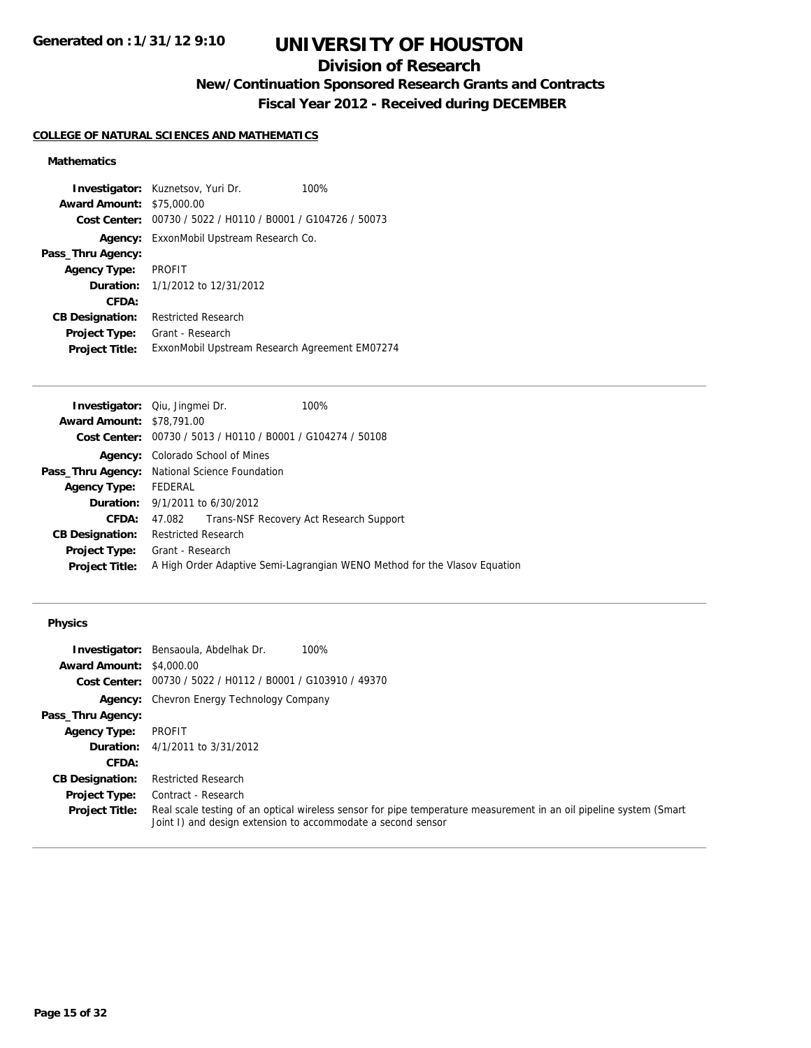## **Division of Research**

**New/Continuation Sponsored Research Grants and Contracts**

**Fiscal Year 2012 - Received during DECEMBER**

## **COLLEGE OF NATURAL SCIENCES AND MATHEMATICS**

## **Mathematics**

|                                  | <b>Investigator:</b> Kuznetsov, Yuri Dr.                    | 100% |
|----------------------------------|-------------------------------------------------------------|------|
| <b>Award Amount: \$75,000.00</b> |                                                             |      |
|                                  | Cost Center: 00730 / 5022 / H0110 / B0001 / G104726 / 50073 |      |
|                                  | Agency: ExxonMobil Upstream Research Co.                    |      |
| Pass_Thru Agency:                |                                                             |      |
| <b>Agency Type:</b>              | PROFIT                                                      |      |
|                                  | <b>Duration:</b> 1/1/2012 to 12/31/2012                     |      |
| CFDA:                            |                                                             |      |
| <b>CB Designation:</b>           | <b>Restricted Research</b>                                  |      |
| <b>Project Type:</b>             | Grant - Research                                            |      |
| <b>Project Title:</b>            | ExxonMobil Upstream Research Agreement EM07274              |      |

| <b>Investigator:</b> Qiu, Jingmei Dr.         |                            |                                                             | 100%                                                                      |
|-----------------------------------------------|----------------------------|-------------------------------------------------------------|---------------------------------------------------------------------------|
| <b>Award Amount: \$78,791.00</b>              |                            |                                                             |                                                                           |
|                                               |                            | Cost Center: 00730 / 5013 / H0110 / B0001 / G104274 / 50108 |                                                                           |
|                                               |                            | <b>Agency:</b> Colorado School of Mines                     |                                                                           |
| Pass_Thru Agency: National Science Foundation |                            |                                                             |                                                                           |
| <b>Agency Type:</b>                           | FEDERAL                    |                                                             |                                                                           |
| <b>Duration:</b> $9/1/2011$ to $6/30/2012$    |                            |                                                             |                                                                           |
| <b>CFDA:</b>                                  | 47.082                     |                                                             | Trans-NSF Recovery Act Research Support                                   |
| <b>CB Designation:</b>                        | <b>Restricted Research</b> |                                                             |                                                                           |
| <b>Project Type:</b>                          | Grant - Research           |                                                             |                                                                           |
| <b>Project Title:</b>                         |                            |                                                             | A High Order Adaptive Semi-Lagrangian WENO Method for the Vlasov Equation |
|                                               |                            |                                                             |                                                                           |

## **Physics**

|                                 | 100%<br><b>Investigator:</b> Bensaoula, Abdelhak Dr.                                                                                                                               |
|---------------------------------|------------------------------------------------------------------------------------------------------------------------------------------------------------------------------------|
| <b>Award Amount: \$4,000.00</b> |                                                                                                                                                                                    |
|                                 | Cost Center: 00730 / 5022 / H0112 / B0001 / G103910 / 49370                                                                                                                        |
|                                 | <b>Agency:</b> Chevron Energy Technology Company                                                                                                                                   |
| Pass_Thru Agency:               |                                                                                                                                                                                    |
| <b>Agency Type:</b>             | PROFIT                                                                                                                                                                             |
|                                 | <b>Duration:</b> $4/1/2011$ to $3/31/2012$                                                                                                                                         |
| CFDA:                           |                                                                                                                                                                                    |
| <b>CB Designation:</b>          | <b>Restricted Research</b>                                                                                                                                                         |
| <b>Project Type:</b>            | Contract - Research                                                                                                                                                                |
| <b>Project Title:</b>           | Real scale testing of an optical wireless sensor for pipe temperature measurement in an oil pipeline system (Smart<br>Joint I) and design extension to accommodate a second sensor |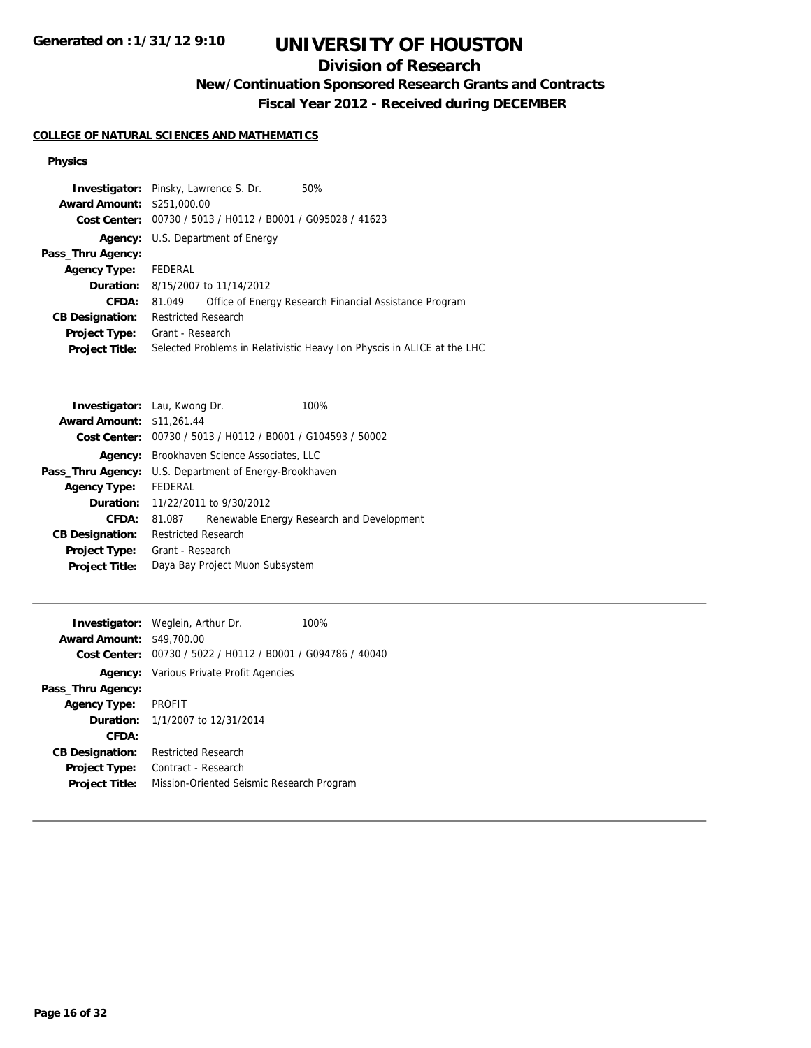## **Division of Research**

**New/Continuation Sponsored Research Grants and Contracts**

**Fiscal Year 2012 - Received during DECEMBER**

## **COLLEGE OF NATURAL SCIENCES AND MATHEMATICS**

### **Physics**

| <b>Award Amount: \$251,000.00</b>                                                                |  |
|--------------------------------------------------------------------------------------------------|--|
| Cost Center: 00730 / 5013 / H0112 / B0001 / G095028 / 41623                                      |  |
| <b>Agency:</b> U.S. Department of Energy                                                         |  |
| Pass_Thru Agency:                                                                                |  |
| FEDERAL<br><b>Agency Type:</b>                                                                   |  |
| <b>Duration:</b> 8/15/2007 to 11/14/2012                                                         |  |
| Office of Energy Research Financial Assistance Program<br>CFDA:<br>81.049                        |  |
| <b>Restricted Research</b><br><b>CB Designation:</b>                                             |  |
| Grant - Research<br><b>Project Type:</b>                                                         |  |
| Selected Problems in Relativistic Heavy Ion Physcis in ALICE at the LHC<br><b>Project Title:</b> |  |

|                                  | <b>Investigator:</b> Lau, Kwong Dr.                         | 100%                                      |  |
|----------------------------------|-------------------------------------------------------------|-------------------------------------------|--|
| <b>Award Amount: \$11,261.44</b> |                                                             |                                           |  |
|                                  | Cost Center: 00730 / 5013 / H0112 / B0001 / G104593 / 50002 |                                           |  |
|                                  | <b>Agency:</b> Brookhaven Science Associates, LLC           |                                           |  |
|                                  | Pass_Thru Agency: U.S. Department of Energy-Brookhaven      |                                           |  |
| <b>Agency Type:</b>              | FEDERAL                                                     |                                           |  |
|                                  | <b>Duration:</b> 11/22/2011 to 9/30/2012                    |                                           |  |
| CFDA:                            | 81.087                                                      | Renewable Energy Research and Development |  |
| <b>CB Designation:</b>           | Restricted Research                                         |                                           |  |
| <b>Project Type:</b>             | Grant - Research                                            |                                           |  |
| <b>Project Title:</b>            | Daya Bay Project Muon Subsystem                             |                                           |  |
|                                  |                                                             |                                           |  |

|                                  | <b>Investigator:</b> Weglein, Arthur Dr.                    | 100% |
|----------------------------------|-------------------------------------------------------------|------|
| <b>Award Amount: \$49,700.00</b> |                                                             |      |
|                                  | Cost Center: 00730 / 5022 / H0112 / B0001 / G094786 / 40040 |      |
|                                  | <b>Agency:</b> Various Private Profit Agencies              |      |
| Pass_Thru Agency:                |                                                             |      |
| <b>Agency Type:</b>              | <b>PROFIT</b>                                               |      |
|                                  | <b>Duration:</b> $1/1/2007$ to $12/31/2014$                 |      |
| CFDA:                            |                                                             |      |
| <b>CB Designation:</b>           | <b>Restricted Research</b>                                  |      |
| <b>Project Type:</b>             | Contract - Research                                         |      |
| <b>Project Title:</b>            | Mission-Oriented Seismic Research Program                   |      |
|                                  |                                                             |      |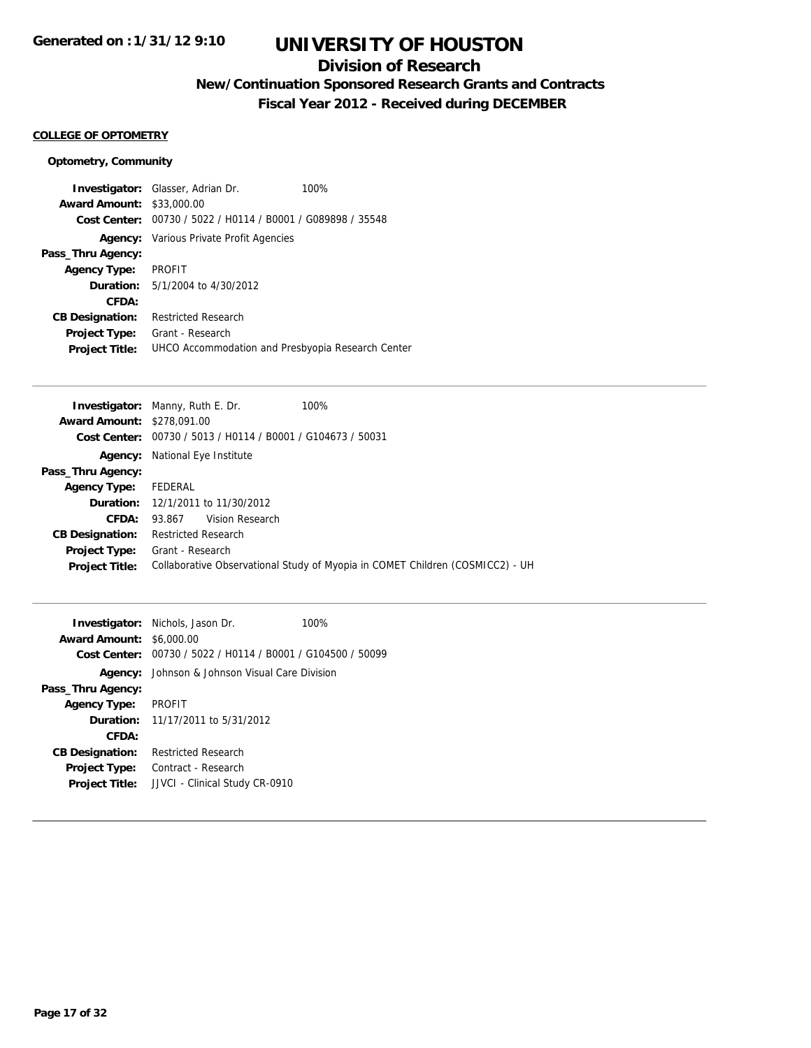## **Division of Research**

**New/Continuation Sponsored Research Grants and Contracts**

**Fiscal Year 2012 - Received during DECEMBER**

## **COLLEGE OF OPTOMETRY**

## **Optometry, Community**

|                                  | <b>Investigator:</b> Glasser, Adrian Dr.                    | 100% |
|----------------------------------|-------------------------------------------------------------|------|
| <b>Award Amount: \$33,000.00</b> |                                                             |      |
|                                  | Cost Center: 00730 / 5022 / H0114 / B0001 / G089898 / 35548 |      |
|                                  | <b>Agency:</b> Various Private Profit Agencies              |      |
| Pass_Thru Agency:                |                                                             |      |
| <b>Agency Type:</b>              | <b>PROFIT</b>                                               |      |
|                                  | <b>Duration:</b> 5/1/2004 to 4/30/2012                      |      |
| CFDA:                            |                                                             |      |
| <b>CB Designation:</b>           | <b>Restricted Research</b>                                  |      |
| Project Type:                    | Grant - Research                                            |      |
| <b>Project Title:</b>            | UHCO Accommodation and Presbyopia Research Center           |      |

|                                   | <b>Investigator:</b> Manny, Ruth E. Dr.<br>100%                               |
|-----------------------------------|-------------------------------------------------------------------------------|
| <b>Award Amount: \$278,091,00</b> |                                                                               |
|                                   | <b>Cost Center:</b> $00730 / 5013 / 40114 / 80001 / 6104673 / 50031$          |
| Agency:                           | National Eye Institute                                                        |
| Pass_Thru Agency:                 |                                                                               |
| <b>Agency Type:</b>               | FEDERAL                                                                       |
|                                   | <b>Duration:</b> 12/1/2011 to 11/30/2012                                      |
| CFDA:                             | Vision Research<br>93.867                                                     |
| <b>CB Designation:</b>            | <b>Restricted Research</b>                                                    |
| <b>Project Type:</b>              | Grant - Research                                                              |
| <b>Project Title:</b>             | Collaborative Observational Study of Myopia in COMET Children (COSMICC2) - UH |
|                                   |                                                                               |

|                                 | <b>Investigator:</b> Nichols, Jason Dr.                     | 100% |
|---------------------------------|-------------------------------------------------------------|------|
| <b>Award Amount: \$6,000.00</b> |                                                             |      |
|                                 | Cost Center: 00730 / 5022 / H0114 / B0001 / G104500 / 50099 |      |
|                                 | <b>Agency:</b> Johnson & Johnson Visual Care Division       |      |
| Pass_Thru Agency:               |                                                             |      |
| <b>Agency Type:</b>             | <b>PROFIT</b>                                               |      |
|                                 | <b>Duration:</b> 11/17/2011 to 5/31/2012                    |      |
| CFDA:                           |                                                             |      |
| <b>CB Designation:</b>          | <b>Restricted Research</b>                                  |      |
| <b>Project Type:</b>            | Contract - Research                                         |      |
| <b>Project Title:</b>           | <b>JJVCI</b> - Clinical Study CR-0910                       |      |
|                                 |                                                             |      |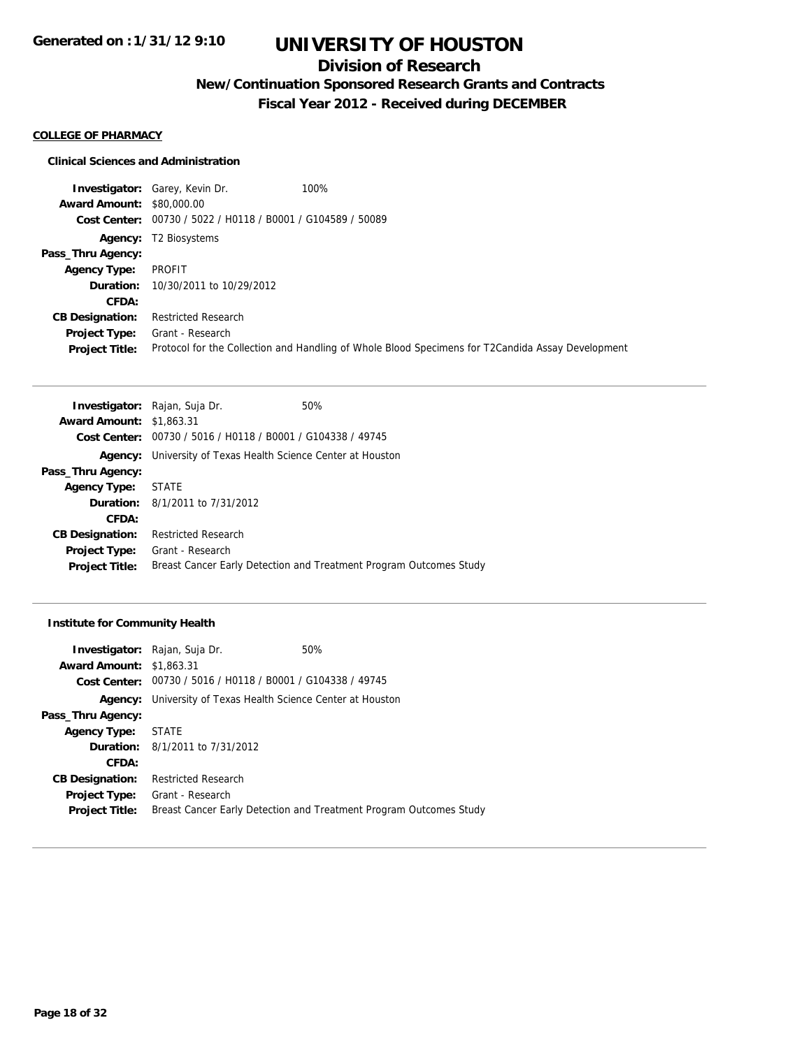## **Division of Research**

## **New/Continuation Sponsored Research Grants and Contracts**

**Fiscal Year 2012 - Received during DECEMBER**

### **COLLEGE OF PHARMACY**

#### **Clinical Sciences and Administration**

**Investigator:** Garey, Kevin Dr. 100% **Award Amount:** \$80,000.00 **Cost Center:** 00730 / 5022 / H0118 / B0001 / G104589 / 50089 **Agency:** T2 Biosystems **Pass\_Thru Agency: Agency Type:** PROFIT **Duration:** 10/30/2011 to 10/29/2012 **CFDA: CB Designation:** Restricted Research **Project Type:** Grant - Research **Project Title:** Protocol for the Collection and Handling of Whole Blood Specimens for T2Candida Assay Development

|                                 | Investigator: Rajan, Suja Dr.                               | 50%                                                                |
|---------------------------------|-------------------------------------------------------------|--------------------------------------------------------------------|
| <b>Award Amount: \$1,863.31</b> |                                                             |                                                                    |
|                                 | Cost Center: 00730 / 5016 / H0118 / B0001 / G104338 / 49745 |                                                                    |
| Agency:                         | University of Texas Health Science Center at Houston        |                                                                    |
| Pass_Thru Agency:               |                                                             |                                                                    |
| <b>Agency Type: STATE</b>       |                                                             |                                                                    |
|                                 | <b>Duration:</b> $8/1/2011$ to $7/31/2012$                  |                                                                    |
| <b>CFDA:</b>                    |                                                             |                                                                    |
| <b>CB Designation:</b>          | <b>Restricted Research</b>                                  |                                                                    |
| Project Type:                   | Grant - Research                                            |                                                                    |
| <b>Project Title:</b>           |                                                             | Breast Cancer Early Detection and Treatment Program Outcomes Study |

#### **Institute for Community Health**

|                                 | <b>Investigator:</b> Rajan, Suja Dr.                                | 50%                                                                |
|---------------------------------|---------------------------------------------------------------------|--------------------------------------------------------------------|
| <b>Award Amount: \$1,863.31</b> |                                                                     |                                                                    |
|                                 | Cost Center: 00730 / 5016 / H0118 / B0001 / G104338 / 49745         |                                                                    |
|                                 | <b>Agency:</b> University of Texas Health Science Center at Houston |                                                                    |
| Pass_Thru Agency:               |                                                                     |                                                                    |
| Agency Type:                    | STATE                                                               |                                                                    |
|                                 | <b>Duration:</b> 8/1/2011 to 7/31/2012                              |                                                                    |
| CFDA:                           |                                                                     |                                                                    |
| <b>CB Designation:</b>          | <b>Restricted Research</b>                                          |                                                                    |
| Project Type:                   | Grant - Research                                                    |                                                                    |
| <b>Project Title:</b>           |                                                                     | Breast Cancer Early Detection and Treatment Program Outcomes Study |
|                                 |                                                                     |                                                                    |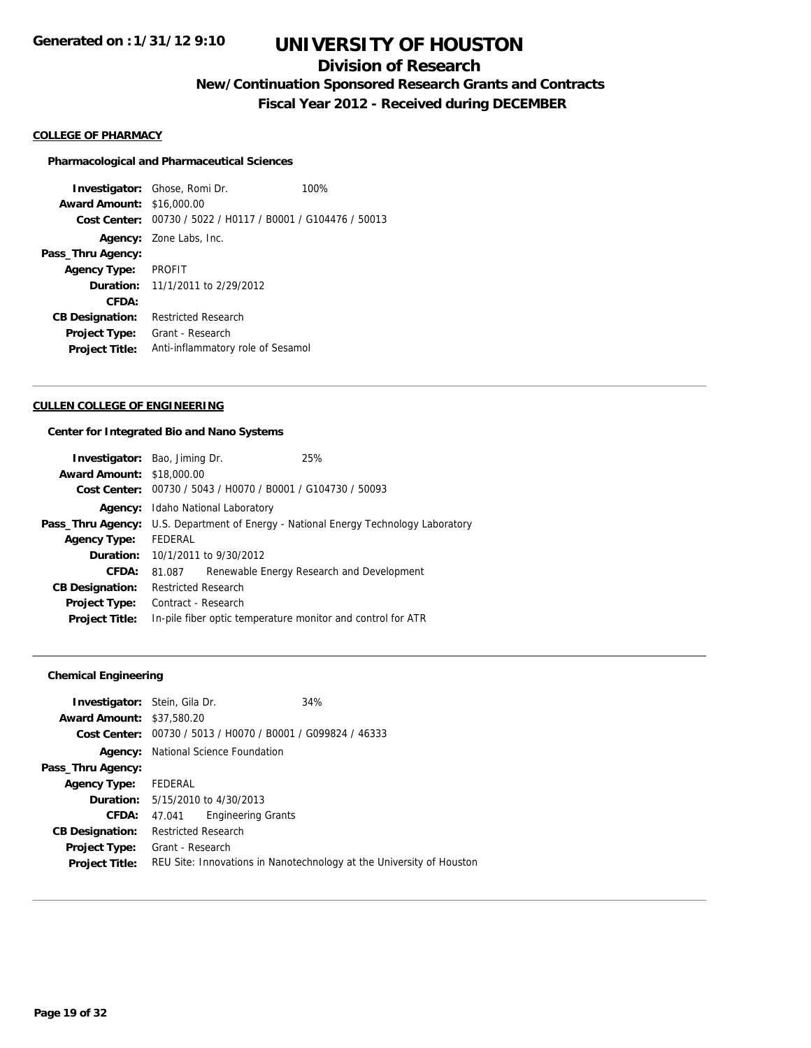## **Division of Research**

**New/Continuation Sponsored Research Grants and Contracts**

**Fiscal Year 2012 - Received during DECEMBER**

## **COLLEGE OF PHARMACY**

#### **Pharmacological and Pharmaceutical Sciences**

**Investigator:** Ghose, Romi Dr. 100% **Award Amount:** \$16,000.00 **Cost Center:** 00730 / 5022 / H0117 / B0001 / G104476 / 50013 **Agency:** Zone Labs, Inc. **Pass\_Thru Agency: Agency Type:** PROFIT **Duration:** 11/1/2011 to 2/29/2012 **CFDA: CB Designation:** Restricted Research **Project Type:** Grant - Research **Project Title:** Anti-inflammatory role of Sesamol

#### **CULLEN COLLEGE OF ENGINEERING**

#### **Center for Integrated Bio and Nano Systems**

| <b>Investigator:</b> Bao, Jiming Dr. |                            |                                                             | 25%                                                                                 |
|--------------------------------------|----------------------------|-------------------------------------------------------------|-------------------------------------------------------------------------------------|
| <b>Award Amount: \$18,000.00</b>     |                            |                                                             |                                                                                     |
|                                      |                            | Cost Center: 00730 / 5043 / H0070 / B0001 / G104730 / 50093 |                                                                                     |
| Agency:                              |                            | Idaho National Laboratory                                   |                                                                                     |
|                                      |                            |                                                             | Pass_Thru Agency: U.S. Department of Energy - National Energy Technology Laboratory |
| <b>Agency Type:</b>                  | FEDERAL                    |                                                             |                                                                                     |
|                                      |                            | <b>Duration:</b> 10/1/2011 to 9/30/2012                     |                                                                                     |
| <b>CFDA:</b>                         | 81.087                     |                                                             | Renewable Energy Research and Development                                           |
| <b>CB Designation:</b>               | <b>Restricted Research</b> |                                                             |                                                                                     |
| Project Type:                        | Contract - Research        |                                                             |                                                                                     |
| <b>Project Title:</b>                |                            |                                                             | In-pile fiber optic temperature monitor and control for ATR                         |

## **Chemical Engineering**

| <b>Investigator:</b> Stein, Gila Dr. |                                                             | 34%                                                                  |
|--------------------------------------|-------------------------------------------------------------|----------------------------------------------------------------------|
| <b>Award Amount: \$37,580.20</b>     |                                                             |                                                                      |
|                                      | Cost Center: 00730 / 5013 / H0070 / B0001 / G099824 / 46333 |                                                                      |
| Agency:                              | National Science Foundation                                 |                                                                      |
| Pass_Thru Agency:                    |                                                             |                                                                      |
| <b>Agency Type:</b>                  | FEDERAL                                                     |                                                                      |
|                                      | <b>Duration:</b> 5/15/2010 to 4/30/2013                     |                                                                      |
| CFDA:                                | <b>Engineering Grants</b><br>47.041                         |                                                                      |
| <b>CB Designation:</b>               | <b>Restricted Research</b>                                  |                                                                      |
| <b>Project Type:</b>                 | Grant - Research                                            |                                                                      |
| <b>Project Title:</b>                |                                                             | REU Site: Innovations in Nanotechnology at the University of Houston |
|                                      |                                                             |                                                                      |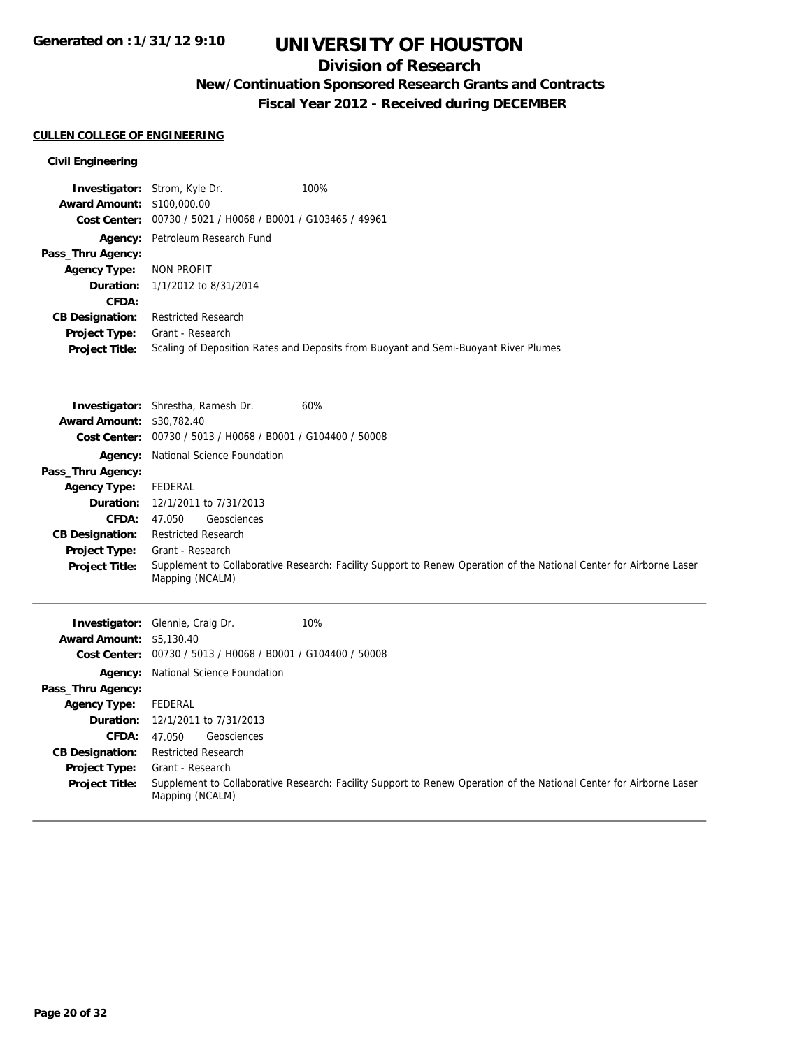## **Division of Research**

## **New/Continuation Sponsored Research Grants and Contracts**

**Fiscal Year 2012 - Received during DECEMBER**

#### **CULLEN COLLEGE OF ENGINEERING**

#### **Civil Engineering**

| <b>Investigator:</b> Strom, Kyle Dr.                        | 100%                                                                                |
|-------------------------------------------------------------|-------------------------------------------------------------------------------------|
| <b>Award Amount: \$100,000.00</b>                           |                                                                                     |
| Cost Center: 00730 / 5021 / H0068 / B0001 / G103465 / 49961 |                                                                                     |
| Agency: Petroleum Research Fund                             |                                                                                     |
|                                                             |                                                                                     |
| Agency Type: NON PROFIT                                     |                                                                                     |
| <b>Duration:</b> 1/1/2012 to 8/31/2014                      |                                                                                     |
|                                                             |                                                                                     |
| <b>Restricted Research</b>                                  |                                                                                     |
| Grant - Research                                            |                                                                                     |
|                                                             | Scaling of Deposition Rates and Deposits from Buoyant and Semi-Buoyant River Plumes |
|                                                             |                                                                                     |

|                                  | <b>Investigator:</b> Shrestha, Ramesh Dr.<br>60% |                                                                                                                     |
|----------------------------------|--------------------------------------------------|---------------------------------------------------------------------------------------------------------------------|
| <b>Award Amount: \$30,782.40</b> |                                                  |                                                                                                                     |
| <b>Cost Center:</b>              | 00730 / 5013 / H0068 / B0001 / G104400 / 50008   |                                                                                                                     |
| Agency:                          | National Science Foundation                      |                                                                                                                     |
| Pass_Thru Agency:                |                                                  |                                                                                                                     |
| <b>Agency Type:</b>              | FEDERAL                                          |                                                                                                                     |
| Duration:                        | 12/1/2011 to 7/31/2013                           |                                                                                                                     |
| CFDA:                            | Geosciences<br>47.050                            |                                                                                                                     |
| <b>CB Designation:</b>           | <b>Restricted Research</b>                       |                                                                                                                     |
| Project Type:                    | Grant - Research                                 |                                                                                                                     |
| <b>Project Title:</b>            | Mapping (NCALM)                                  | Supplement to Collaborative Research: Facility Support to Renew Operation of the National Center for Airborne Laser |
|                                  |                                                  |                                                                                                                     |
|                                  | Investigator: Glennie, Craig Dr.<br>10%          |                                                                                                                     |
| <b>Award Amount: \$5,130.40</b>  |                                                  |                                                                                                                     |
| Cost Center:                     | 00730 / 5013 / H0068 / B0001 / G104400 / 50008   |                                                                                                                     |
| Agency:                          | National Science Foundation                      |                                                                                                                     |
| Pass_Thru Agency:                |                                                  |                                                                                                                     |
| <b>Agency Type:</b>              | <b>FEDERAL</b>                                   |                                                                                                                     |
| Duration:                        | 12/1/2011 to 7/31/2013                           |                                                                                                                     |
| CFDA:                            | Geosciences<br>47.050                            |                                                                                                                     |
| <b>CB Designation:</b>           | <b>Restricted Research</b>                       |                                                                                                                     |

**Project Title:** Supplement to Collaborative Research: Facility Support to Renew Operation of the National Center for Airborne Laser

Mapping (NCALM)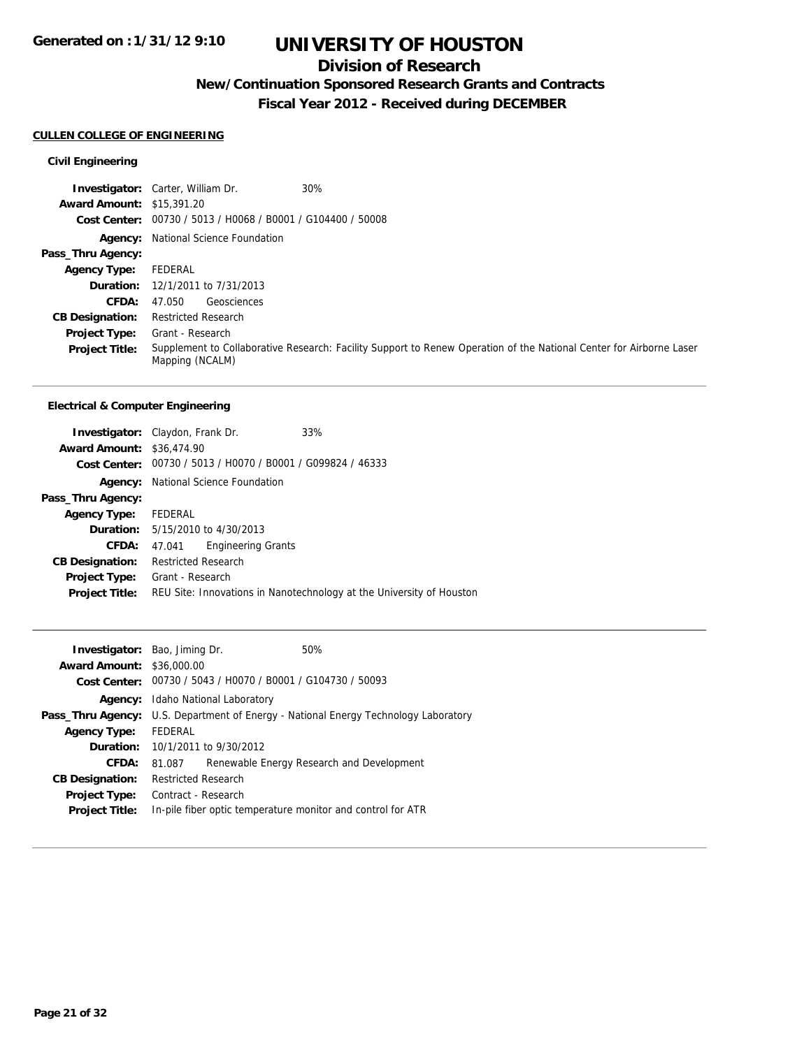## **Division of Research**

**New/Continuation Sponsored Research Grants and Contracts**

**Fiscal Year 2012 - Received during DECEMBER**

## **CULLEN COLLEGE OF ENGINEERING**

## **Civil Engineering**

|                                  | 30%<br><b>Investigator:</b> Carter, William Dr.                                                                                        |
|----------------------------------|----------------------------------------------------------------------------------------------------------------------------------------|
| <b>Award Amount: \$15,391,20</b> |                                                                                                                                        |
| Cost Center:                     | 00730 / 5013 / H0068 / B0001 / G104400 / 50008                                                                                         |
|                                  | <b>Agency:</b> National Science Foundation                                                                                             |
| Pass_Thru Agency:                |                                                                                                                                        |
| <b>Agency Type:</b>              | FEDERAL                                                                                                                                |
|                                  | <b>Duration:</b> 12/1/2011 to 7/31/2013                                                                                                |
| <b>CFDA:</b>                     | Geosciences<br>47.050                                                                                                                  |
| <b>CB Designation:</b>           | <b>Restricted Research</b>                                                                                                             |
| <b>Project Type:</b>             | Grant - Research                                                                                                                       |
| <b>Project Title:</b>            | Supplement to Collaborative Research: Facility Support to Renew Operation of the National Center for Airborne Laser<br>Mapping (NCALM) |

#### **Electrical & Computer Engineering**

| <b>Award Amount: \$36,474.90</b><br>Cost Center: 00730 / 5013 / H0070 / B0001 / G099824 / 46333<br><b>Agency:</b> National Science Foundation<br>Pass_Thru Agency:<br>FEDERAL<br><b>Agency Type:</b><br><b>Duration:</b> $5/15/2010$ to $4/30/2013$<br><b>CFDA:</b><br><b>Engineering Grants</b><br>47.041<br><b>Restricted Research</b><br><b>CB Designation:</b><br>Grant - Research<br><b>Project Type:</b><br>REU Site: Innovations in Nanotechnology at the University of Houston<br><b>Project Title:</b> | <b>Investigator:</b> Claydon, Frank Dr. | 33% |
|-----------------------------------------------------------------------------------------------------------------------------------------------------------------------------------------------------------------------------------------------------------------------------------------------------------------------------------------------------------------------------------------------------------------------------------------------------------------------------------------------------------------|-----------------------------------------|-----|
|                                                                                                                                                                                                                                                                                                                                                                                                                                                                                                                 |                                         |     |
|                                                                                                                                                                                                                                                                                                                                                                                                                                                                                                                 |                                         |     |
|                                                                                                                                                                                                                                                                                                                                                                                                                                                                                                                 |                                         |     |
|                                                                                                                                                                                                                                                                                                                                                                                                                                                                                                                 |                                         |     |
|                                                                                                                                                                                                                                                                                                                                                                                                                                                                                                                 |                                         |     |
|                                                                                                                                                                                                                                                                                                                                                                                                                                                                                                                 |                                         |     |
|                                                                                                                                                                                                                                                                                                                                                                                                                                                                                                                 |                                         |     |
|                                                                                                                                                                                                                                                                                                                                                                                                                                                                                                                 |                                         |     |
|                                                                                                                                                                                                                                                                                                                                                                                                                                                                                                                 |                                         |     |
|                                                                                                                                                                                                                                                                                                                                                                                                                                                                                                                 |                                         |     |

| <b>Investigator:</b> Bao, Jiming Dr. |                            |                                                             | 50%                                                               |
|--------------------------------------|----------------------------|-------------------------------------------------------------|-------------------------------------------------------------------|
| <b>Award Amount: \$36,000.00</b>     |                            |                                                             |                                                                   |
|                                      |                            | Cost Center: 00730 / 5043 / H0070 / B0001 / G104730 / 50093 |                                                                   |
|                                      |                            | <b>Agency:</b> Idaho National Laboratory                    |                                                                   |
| Pass_Thru Agency:                    |                            |                                                             | U.S. Department of Energy - National Energy Technology Laboratory |
| <b>Agency Type:</b>                  | <b>FFDFRAL</b>             |                                                             |                                                                   |
|                                      |                            | <b>Duration:</b> 10/1/2011 to 9/30/2012                     |                                                                   |
| <b>CFDA:</b>                         | 81.087                     |                                                             | Renewable Energy Research and Development                         |
| <b>CB Designation:</b>               | <b>Restricted Research</b> |                                                             |                                                                   |
| Project Type:                        | Contract - Research        |                                                             |                                                                   |
| <b>Project Title:</b>                |                            |                                                             | In-pile fiber optic temperature monitor and control for ATR       |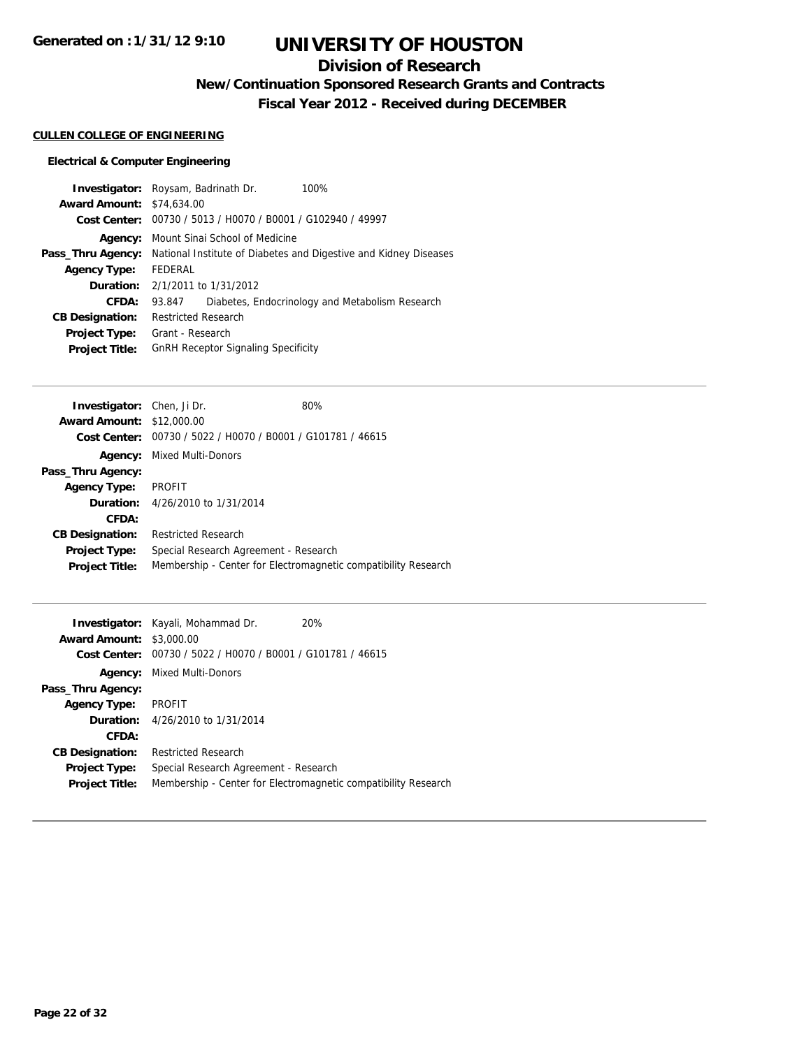## **Division of Research**

**New/Continuation Sponsored Research Grants and Contracts**

**Fiscal Year 2012 - Received during DECEMBER**

## **CULLEN COLLEGE OF ENGINEERING**

## **Electrical & Computer Engineering**

|                                  | <b>Investigator:</b> Roysam, Badrinath Dr.                  | 100%                                                             |
|----------------------------------|-------------------------------------------------------------|------------------------------------------------------------------|
| <b>Award Amount: \$74,634.00</b> |                                                             |                                                                  |
|                                  | Cost Center: 00730 / 5013 / H0070 / B0001 / G102940 / 49997 |                                                                  |
| Agency:                          | Mount Sinai School of Medicine                              |                                                                  |
| Pass_Thru Agency:                |                                                             | National Institute of Diabetes and Digestive and Kidney Diseases |
| <b>Agency Type:</b>              | FEDERAL                                                     |                                                                  |
|                                  | <b>Duration:</b> $2/1/2011$ to $1/31/2012$                  |                                                                  |
| CFDA:                            | 93.847                                                      | Diabetes, Endocrinology and Metabolism Research                  |
| <b>CB Designation:</b>           | Restricted Research                                         |                                                                  |
| <b>Project Type:</b>             | Grant - Research                                            |                                                                  |
| <b>Project Title:</b>            | <b>GnRH Receptor Signaling Specificity</b>                  |                                                                  |
|                                  |                                                             |                                                                  |

| <b>Investigator:</b> Chen, Ji Dr. |                                                             | 80%                                                            |
|-----------------------------------|-------------------------------------------------------------|----------------------------------------------------------------|
| <b>Award Amount: \$12,000.00</b>  |                                                             |                                                                |
|                                   | Cost Center: 00730 / 5022 / H0070 / B0001 / G101781 / 46615 |                                                                |
|                                   | <b>Agency:</b> Mixed Multi-Donors                           |                                                                |
| Pass_Thru Agency:                 |                                                             |                                                                |
| <b>Agency Type:</b>               | PROFIT                                                      |                                                                |
|                                   | <b>Duration:</b> 4/26/2010 to 1/31/2014                     |                                                                |
| CFDA:                             |                                                             |                                                                |
| <b>CB Designation:</b>            | <b>Restricted Research</b>                                  |                                                                |
| <b>Project Type:</b>              | Special Research Agreement - Research                       |                                                                |
| <b>Project Title:</b>             |                                                             | Membership - Center for Electromagnetic compatibility Research |
|                                   |                                                             |                                                                |

| <b>Award Amount: \$3,000.00</b><br>Cost Center: | <b>Investigator:</b> Kayali, Mohammad Dr.<br>00730 / 5022 / H0070 / B0001 / G101781 / 46615 | 20%                                                            |
|-------------------------------------------------|---------------------------------------------------------------------------------------------|----------------------------------------------------------------|
| Agency:                                         | <b>Mixed Multi-Donors</b>                                                                   |                                                                |
| Pass_Thru Agency:                               |                                                                                             |                                                                |
| <b>Agency Type:</b>                             | PROFIT                                                                                      |                                                                |
|                                                 | <b>Duration:</b> $4/26/2010$ to $1/31/2014$                                                 |                                                                |
| CFDA:                                           |                                                                                             |                                                                |
| <b>CB Designation:</b>                          | <b>Restricted Research</b>                                                                  |                                                                |
| <b>Project Type:</b>                            | Special Research Agreement - Research                                                       |                                                                |
| <b>Project Title:</b>                           |                                                                                             | Membership - Center for Electromagnetic compatibility Research |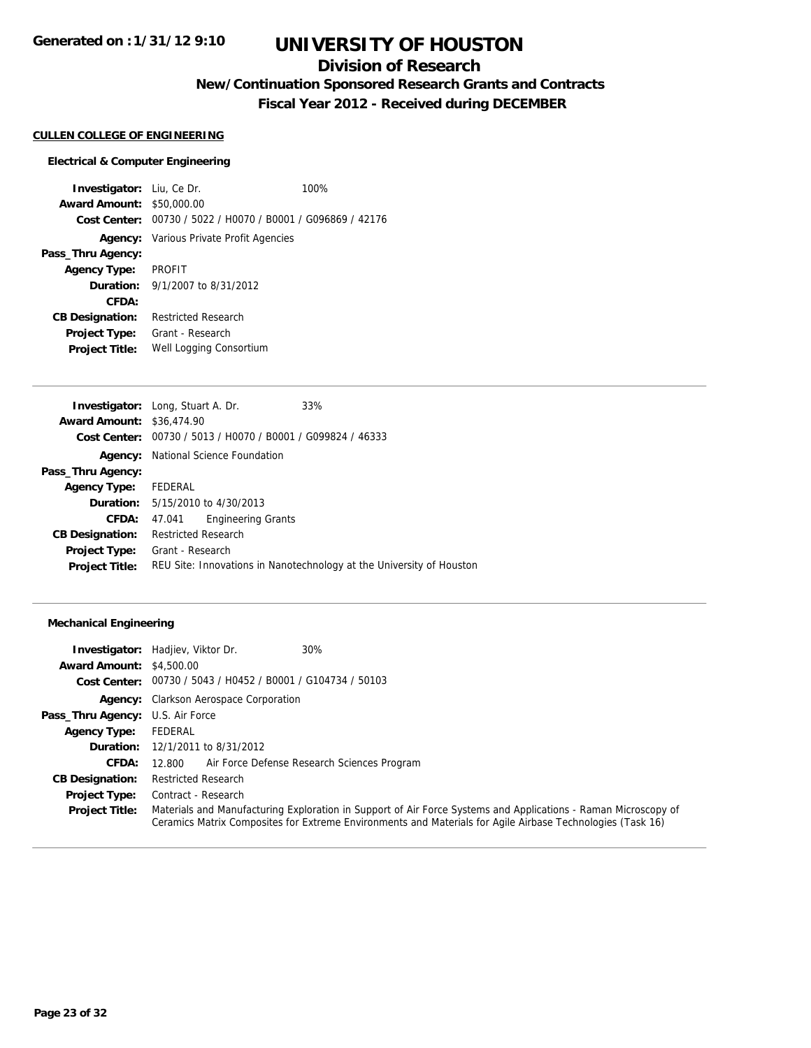## **Division of Research**

**New/Continuation Sponsored Research Grants and Contracts**

**Fiscal Year 2012 - Received during DECEMBER**

## **CULLEN COLLEGE OF ENGINEERING**

#### **Electrical & Computer Engineering**

**Investigator:** Liu, Ce Dr. 100% **Award Amount:** \$50,000.00 **Cost Center:** 00730 / 5022 / H0070 / B0001 / G096869 / 42176 **Agency:** Various Private Profit Agencies **Pass\_Thru Agency: Agency Type:** PROFIT **Duration:** 9/1/2007 to 8/31/2012 **CFDA: CB Designation:** Restricted Research **Project Type:** Grant - Research **Project Title:** Well Logging Consortium

| <b>Investigator:</b> Long, Stuart A. Dr.                    | 33%                                                                  |
|-------------------------------------------------------------|----------------------------------------------------------------------|
| <b>Award Amount: \$36,474.90</b>                            |                                                                      |
| Cost Center: 00730 / 5013 / H0070 / B0001 / G099824 / 46333 |                                                                      |
| National Science Foundation<br>Agency:                      |                                                                      |
|                                                             |                                                                      |
| Agency Type: FEDERAL                                        |                                                                      |
| <b>Duration:</b> 5/15/2010 to 4/30/2013                     |                                                                      |
| <b>Engineering Grants</b><br>47.041                         |                                                                      |
| <b>Restricted Research</b>                                  |                                                                      |
| Grant - Research                                            |                                                                      |
|                                                             | REU Site: Innovations in Nanotechnology at the University of Houston |
|                                                             |                                                                      |

#### **Mechanical Engineering**

|                                         | 30%<br><b>Investigator:</b> Hadjiev, Viktor Dr.                                                                                                                                                                              |
|-----------------------------------------|------------------------------------------------------------------------------------------------------------------------------------------------------------------------------------------------------------------------------|
| <b>Award Amount: \$4,500.00</b>         |                                                                                                                                                                                                                              |
|                                         | Cost Center: 00730 / 5043 / H0452 / B0001 / G104734 / 50103                                                                                                                                                                  |
|                                         | <b>Agency:</b> Clarkson Aerospace Corporation                                                                                                                                                                                |
| <b>Pass_Thru Agency:</b> U.S. Air Force |                                                                                                                                                                                                                              |
| <b>Agency Type:</b>                     | FEDERAL                                                                                                                                                                                                                      |
| Duration:                               | 12/1/2011 to 8/31/2012                                                                                                                                                                                                       |
| <b>CFDA:</b>                            | Air Force Defense Research Sciences Program<br>12.800                                                                                                                                                                        |
| <b>CB Designation:</b>                  | <b>Restricted Research</b>                                                                                                                                                                                                   |
| <b>Project Type:</b>                    | Contract - Research                                                                                                                                                                                                          |
| <b>Project Title:</b>                   | Materials and Manufacturing Exploration in Support of Air Force Systems and Applications - Raman Microscopy of<br>Ceramics Matrix Composites for Extreme Environments and Materials for Agile Airbase Technologies (Task 16) |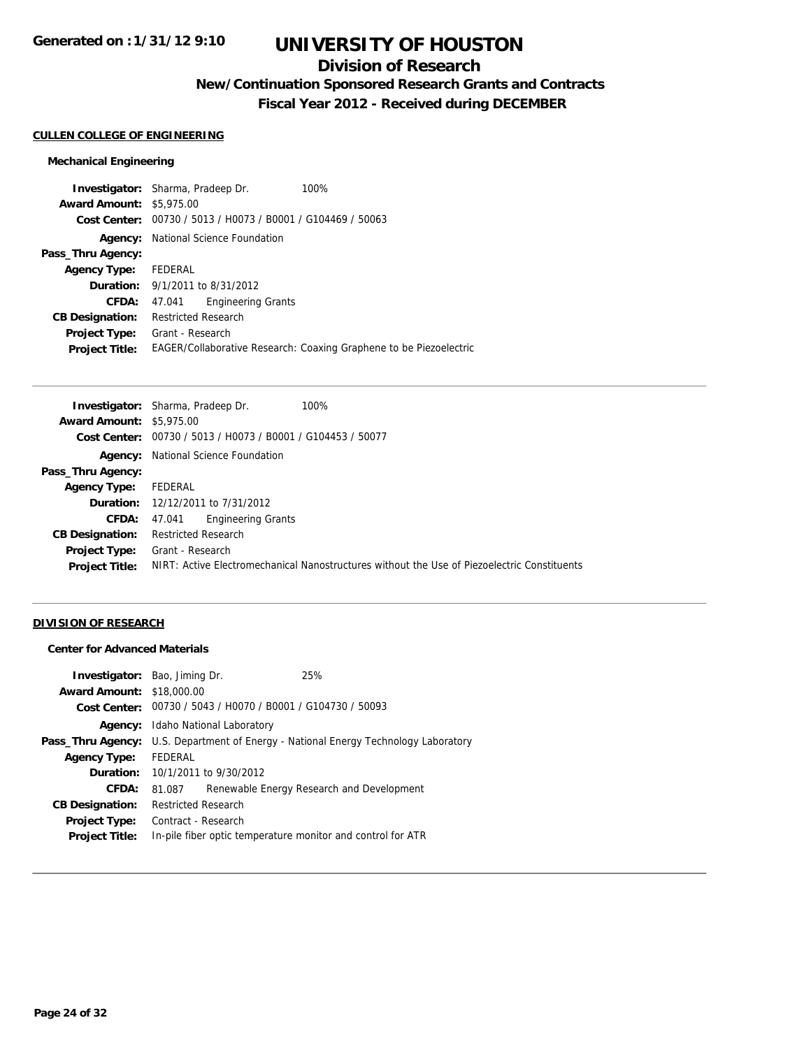## **Division of Research**

**New/Continuation Sponsored Research Grants and Contracts**

**Fiscal Year 2012 - Received during DECEMBER**

#### **CULLEN COLLEGE OF ENGINEERING**

## **Mechanical Engineering**

|                                 | <b>Investigator:</b> Sharma, Pradeep Dr.<br>100%                   |  |  |
|---------------------------------|--------------------------------------------------------------------|--|--|
| <b>Award Amount: \$5,975.00</b> |                                                                    |  |  |
|                                 | Cost Center: 00730 / 5013 / H0073 / B0001 / G104469 / 50063        |  |  |
| Agency:                         | National Science Foundation                                        |  |  |
| Pass_Thru Agency:               |                                                                    |  |  |
| <b>Agency Type:</b>             | FEDERAL                                                            |  |  |
|                                 | <b>Duration:</b> 9/1/2011 to 8/31/2012                             |  |  |
| <b>CFDA:</b>                    | <b>Engineering Grants</b><br>47.041                                |  |  |
| <b>CB Designation:</b>          | <b>Restricted Research</b>                                         |  |  |
| Project Type:                   | Grant - Research                                                   |  |  |
| <b>Project Title:</b>           | EAGER/Collaborative Research: Coaxing Graphene to be Piezoelectric |  |  |

|                                 | <b>Investigator:</b> Sharma, Pradeep Dr.<br>100%            |                                                                                             |
|---------------------------------|-------------------------------------------------------------|---------------------------------------------------------------------------------------------|
| <b>Award Amount: \$5,975.00</b> |                                                             |                                                                                             |
|                                 | Cost Center: 00730 / 5013 / H0073 / B0001 / G104453 / 50077 |                                                                                             |
|                                 | <b>Agency:</b> National Science Foundation                  |                                                                                             |
| Pass_Thru Agency:               |                                                             |                                                                                             |
| <b>Agency Type:</b>             | FEDERAL                                                     |                                                                                             |
|                                 | <b>Duration:</b> 12/12/2011 to 7/31/2012                    |                                                                                             |
| <b>CFDA:</b>                    | <b>Engineering Grants</b><br>47.041                         |                                                                                             |
| <b>CB Designation:</b>          | Restricted Research                                         |                                                                                             |
| <b>Project Type:</b>            | Grant - Research                                            |                                                                                             |
| <b>Project Title:</b>           |                                                             | NIRT: Active Electromechanical Nanostructures without the Use of Piezoelectric Constituents |
|                                 |                                                             |                                                                                             |

## **DIVISION OF RESEARCH**

## **Center for Advanced Materials**

| <b>Investigator:</b> Bao, Jiming Dr. |                                                                                            |                                                             | 25%                                                         |  |
|--------------------------------------|--------------------------------------------------------------------------------------------|-------------------------------------------------------------|-------------------------------------------------------------|--|
| <b>Award Amount: \$18,000.00</b>     |                                                                                            |                                                             |                                                             |  |
|                                      |                                                                                            | Cost Center: 00730 / 5043 / H0070 / B0001 / G104730 / 50093 |                                                             |  |
|                                      | <b>Agency:</b> Idaho National Laboratory                                                   |                                                             |                                                             |  |
|                                      | <b>Pass_Thru Agency:</b> U.S. Department of Energy - National Energy Technology Laboratory |                                                             |                                                             |  |
| <b>Agency Type:</b>                  | FEDERAL                                                                                    |                                                             |                                                             |  |
|                                      |                                                                                            | <b>Duration:</b> 10/1/2011 to 9/30/2012                     |                                                             |  |
| CFDA:                                | 81.087                                                                                     |                                                             | Renewable Energy Research and Development                   |  |
| <b>CB Designation:</b>               | <b>Restricted Research</b>                                                                 |                                                             |                                                             |  |
| <b>Project Type:</b>                 | Contract - Research                                                                        |                                                             |                                                             |  |
| <b>Project Title:</b>                |                                                                                            |                                                             | In-pile fiber optic temperature monitor and control for ATR |  |
|                                      |                                                                                            |                                                             |                                                             |  |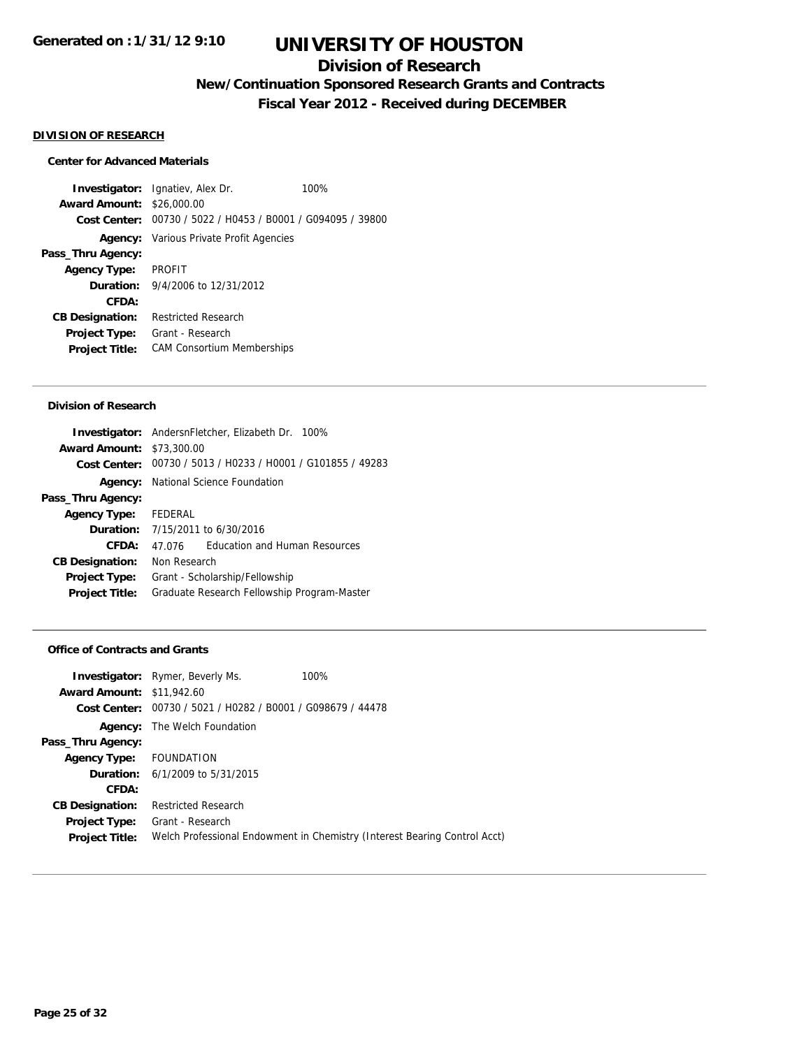## **Division of Research**

**New/Continuation Sponsored Research Grants and Contracts**

**Fiscal Year 2012 - Received during DECEMBER**

### **DIVISION OF RESEARCH**

### **Center for Advanced Materials**

**Investigator:** Ignatiev, Alex Dr. 100% **Award Amount:** \$26,000.00 **Cost Center:** 00730 / 5022 / H0453 / B0001 / G094095 / 39800 **Agency:** Various Private Profit Agencies **Pass\_Thru Agency: Agency Type:** PROFIT **Duration:** 9/4/2006 to 12/31/2012 **CFDA: CB Designation:** Restricted Research **Project Type:** Grant - Research **Project Title:** CAM Consortium Memberships

#### **Division of Research**

|                                  | <b>Investigator:</b> AndersnFletcher, Elizabeth Dr. 100%    |  |  |
|----------------------------------|-------------------------------------------------------------|--|--|
| <b>Award Amount: \$73,300.00</b> |                                                             |  |  |
|                                  | Cost Center: 00730 / 5013 / H0233 / H0001 / G101855 / 49283 |  |  |
| Agency:                          | National Science Foundation                                 |  |  |
| Pass_Thru Agency:                |                                                             |  |  |
| Agency Type: FEDERAL             |                                                             |  |  |
|                                  | <b>Duration:</b> 7/15/2011 to 6/30/2016                     |  |  |
| CFDA:                            | <b>Education and Human Resources</b><br>47.076              |  |  |
| <b>CB Designation:</b>           | Non Research                                                |  |  |
| <b>Project Type:</b>             | Grant - Scholarship/Fellowship                              |  |  |
| <b>Project Title:</b>            | Graduate Research Fellowship Program-Master                 |  |  |

#### **Office of Contracts and Grants**

|                                  | <b>Investigator:</b> Rymer, Beverly Ms.                     | 100%                                                                      |
|----------------------------------|-------------------------------------------------------------|---------------------------------------------------------------------------|
| <b>Award Amount: \$11,942.60</b> |                                                             |                                                                           |
|                                  | Cost Center: 00730 / 5021 / H0282 / B0001 / G098679 / 44478 |                                                                           |
|                                  | <b>Agency:</b> The Welch Foundation                         |                                                                           |
| Pass_Thru Agency:                |                                                             |                                                                           |
| Agency Type: FOUNDATION          |                                                             |                                                                           |
|                                  | <b>Duration:</b> $6/1/2009$ to $5/31/2015$                  |                                                                           |
| CFDA:                            |                                                             |                                                                           |
| <b>CB Designation:</b>           | <b>Restricted Research</b>                                  |                                                                           |
| <b>Project Type:</b>             | Grant - Research                                            |                                                                           |
| <b>Project Title:</b>            |                                                             | Welch Professional Endowment in Chemistry (Interest Bearing Control Acct) |
|                                  |                                                             |                                                                           |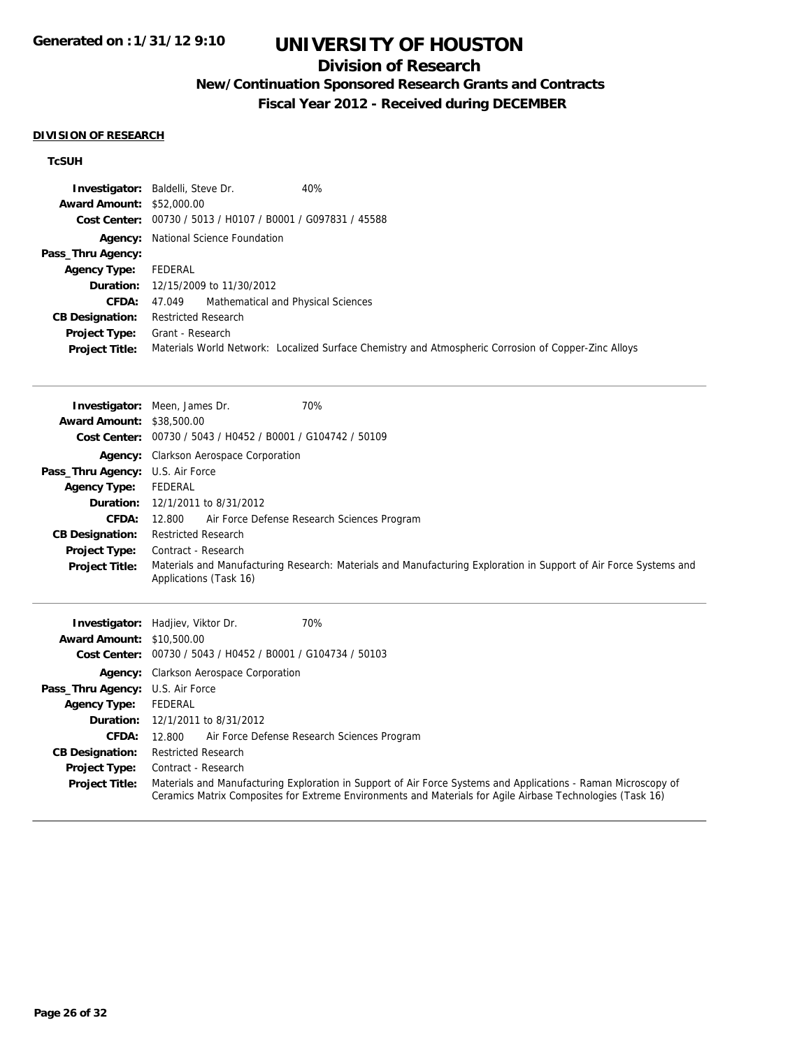## **Division of Research**

## **New/Continuation Sponsored Research Grants and Contracts**

**Fiscal Year 2012 - Received during DECEMBER**

#### **DIVISION OF RESEARCH**

### **TcSUH**

|                                  | 40%<br><b>Investigator:</b> Baldelli, Steve Dr.                                                      |
|----------------------------------|------------------------------------------------------------------------------------------------------|
| <b>Award Amount: \$52,000.00</b> |                                                                                                      |
|                                  | Cost Center: 00730 / 5013 / H0107 / B0001 / G097831 / 45588                                          |
|                                  | <b>Agency:</b> National Science Foundation                                                           |
| Pass_Thru Agency:                |                                                                                                      |
| <b>Agency Type:</b>              | FEDERAL                                                                                              |
|                                  | <b>Duration:</b> 12/15/2009 to 11/30/2012                                                            |
| <b>CFDA:</b>                     | 47.049 Mathematical and Physical Sciences                                                            |
| <b>CB Designation:</b>           | <b>Restricted Research</b>                                                                           |
| <b>Project Type:</b>             | Grant - Research                                                                                     |
| <b>Project Title:</b>            | Materials World Network: Localized Surface Chemistry and Atmospheric Corrosion of Copper-Zinc Alloys |

|                                  | <b>Investigator:</b> Meen, James Dr.<br>70%                                                                       |
|----------------------------------|-------------------------------------------------------------------------------------------------------------------|
| <b>Award Amount: \$38,500.00</b> |                                                                                                                   |
| <b>Cost Center:</b>              | 00730 / 5043 / H0452 / B0001 / G104742 / 50109                                                                    |
|                                  | Agency: Clarkson Aerospace Corporation                                                                            |
| Pass_Thru Agency:                | U.S. Air Force                                                                                                    |
| <b>Agency Type:</b>              | FEDERAL                                                                                                           |
| Duration:                        | 12/1/2011 to 8/31/2012                                                                                            |
| CFDA:                            | Air Force Defense Research Sciences Program<br>12.800                                                             |
| <b>CB Designation:</b>           | <b>Restricted Research</b>                                                                                        |
| Project Type:                    | Contract - Research                                                                                               |
| <b>Project Title:</b>            | Materials and Manufacturing Research: Materials and Manufacturing Exploration in Support of Air Force Systems and |
|                                  | Applications (Task 16)                                                                                            |
|                                  |                                                                                                                   |
|                                  | 70%<br><b>Investigator:</b> Hadjiev, Viktor Dr.                                                                   |
| <b>Award Amount: \$10,500.00</b> |                                                                                                                   |
| <b>Cost Center:</b>              | 00730 / 5043 / H0452 / B0001 / G104734 / 50103                                                                    |
| Agency:                          | <b>Clarkson Aerospace Corporation</b>                                                                             |
| Pass_Thru Agency:                | U.S. Air Force                                                                                                    |
| <b>Agency Type:</b>              | FEDERAL                                                                                                           |
| Duration:                        | 12/1/2011 to 8/31/2012                                                                                            |
| CFDA:                            | 12.800<br>Air Force Defense Research Sciences Program                                                             |

**Project Type: Project Title:** Materials and Manufacturing Exploration in Support of Air Force Systems and Applications - Raman Microscopy of Ceramics Matrix Composites for Extreme Environments and Materials for Agile Airbase Technologies (Task 16) Contract - Research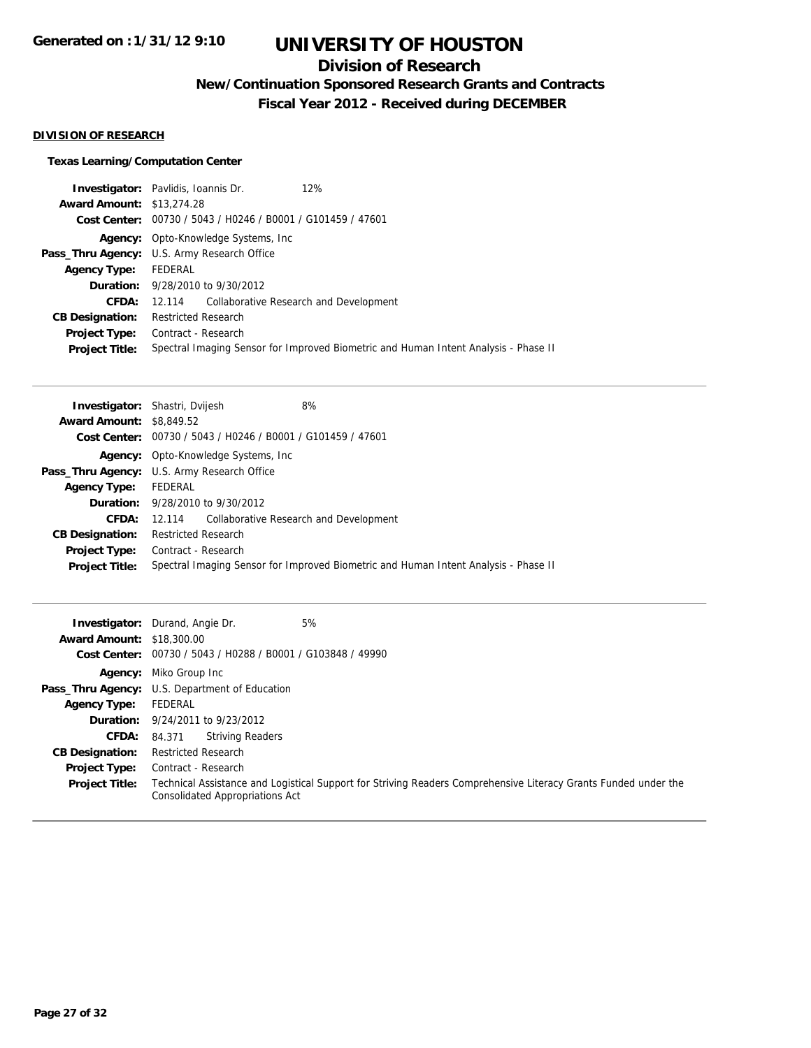## **Division of Research**

## **New/Continuation Sponsored Research Grants and Contracts**

**Fiscal Year 2012 - Received during DECEMBER**

## **DIVISION OF RESEARCH**

## **Texas Learning/Computation Center**

| <b>Investigator:</b> Pavlidis, Ioannis Dr.<br>12%                                   |  |  |
|-------------------------------------------------------------------------------------|--|--|
| <b>Award Amount: \$13,274.28</b>                                                    |  |  |
| Cost Center: 00730 / 5043 / H0246 / B0001 / G101459 / 47601                         |  |  |
| <b>Agency:</b> Opto-Knowledge Systems, Inc.                                         |  |  |
| <b>Pass_Thru Agency:</b> U.S. Army Research Office                                  |  |  |
| FEDERAL                                                                             |  |  |
| <b>Duration:</b> $9/28/2010$ to $9/30/2012$                                         |  |  |
| 12.114 Collaborative Research and Development                                       |  |  |
| <b>Restricted Research</b>                                                          |  |  |
| <b>Project Type:</b> Contract - Research                                            |  |  |
| Spectral Imaging Sensor for Improved Biometric and Human Intent Analysis - Phase II |  |  |
|                                                                                     |  |  |

| <b>Investigator:</b> Shastri, Dvijesh |                                                                                     |  | 8%                                            |
|---------------------------------------|-------------------------------------------------------------------------------------|--|-----------------------------------------------|
| <b>Award Amount: \$8,849.52</b>       |                                                                                     |  |                                               |
|                                       | Cost Center: 00730 / 5043 / H0246 / B0001 / G101459 / 47601                         |  |                                               |
|                                       | <b>Agency:</b> Opto-Knowledge Systems, Inc.                                         |  |                                               |
|                                       | <b>Pass_Thru Agency:</b> U.S. Army Research Office                                  |  |                                               |
| <b>Agency Type:</b>                   | FEDERAL                                                                             |  |                                               |
|                                       | <b>Duration:</b> 9/28/2010 to 9/30/2012                                             |  |                                               |
| CFDA:                                 |                                                                                     |  | 12.114 Collaborative Research and Development |
| <b>CB Designation:</b>                | <b>Restricted Research</b>                                                          |  |                                               |
|                                       | <b>Project Type:</b> Contract - Research                                            |  |                                               |
| <b>Project Title:</b>                 | Spectral Imaging Sensor for Improved Biometric and Human Intent Analysis - Phase II |  |                                               |

| <b>Award Amount: \$18,300.00</b> | 5%<br><b>Investigator:</b> Durand, Angie Dr.                                                                                                              |
|----------------------------------|-----------------------------------------------------------------------------------------------------------------------------------------------------------|
| Cost Center:                     | 00730 / 5043 / H0288 / B0001 / G103848 / 49990                                                                                                            |
|                                  | <b>Agency:</b> Miko Group Inc                                                                                                                             |
|                                  | <b>Pass_Thru Agency:</b> U.S. Department of Education                                                                                                     |
| <b>Agency Type:</b>              | FEDERAL                                                                                                                                                   |
|                                  | <b>Duration:</b> 9/24/2011 to 9/23/2012                                                                                                                   |
| <b>CFDA:</b>                     | <b>Striving Readers</b><br>84.371                                                                                                                         |
| <b>CB Designation:</b>           | <b>Restricted Research</b>                                                                                                                                |
| <b>Project Type:</b>             | Contract - Research                                                                                                                                       |
| <b>Project Title:</b>            | Technical Assistance and Logistical Support for Striving Readers Comprehensive Literacy Grants Funded under the<br><b>Consolidated Appropriations Act</b> |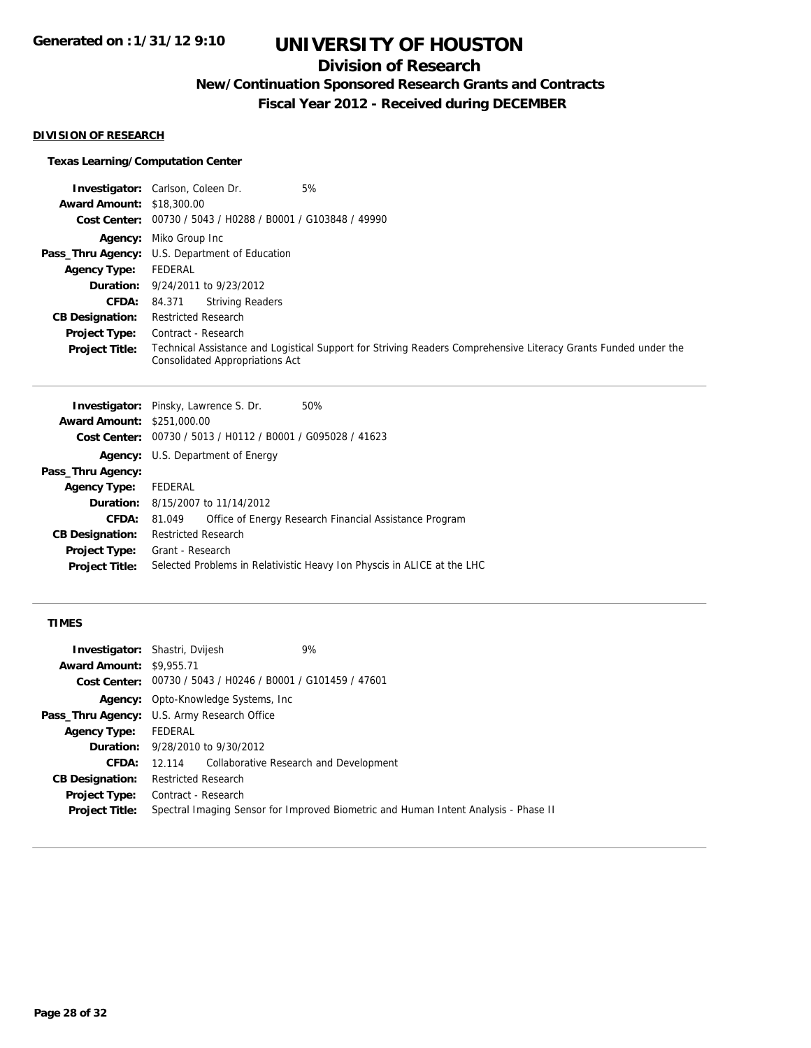## **Division of Research**

**New/Continuation Sponsored Research Grants and Contracts**

**Fiscal Year 2012 - Received during DECEMBER**

#### **DIVISION OF RESEARCH**

## **Texas Learning/Computation Center**

|                                  | 5%<br><b>Investigator:</b> Carlson, Coleen Dr.                                                                                                            |
|----------------------------------|-----------------------------------------------------------------------------------------------------------------------------------------------------------|
| <b>Award Amount: \$18,300.00</b> |                                                                                                                                                           |
|                                  | Cost Center: 00730 / 5043 / H0288 / B0001 / G103848 / 49990                                                                                               |
|                                  | <b>Agency:</b> Miko Group Inc                                                                                                                             |
|                                  | <b>Pass_Thru Agency:</b> U.S. Department of Education                                                                                                     |
| <b>Agency Type:</b>              | FEDERAL                                                                                                                                                   |
|                                  | <b>Duration:</b> 9/24/2011 to 9/23/2012                                                                                                                   |
| <b>CFDA:</b>                     | <b>Striving Readers</b><br>84.371                                                                                                                         |
| <b>CB Designation:</b>           | <b>Restricted Research</b>                                                                                                                                |
| <b>Project Type:</b>             | Contract - Research                                                                                                                                       |
| <b>Project Title:</b>            | Technical Assistance and Logistical Support for Striving Readers Comprehensive Literacy Grants Funded under the<br><b>Consolidated Appropriations Act</b> |

|                                   | <b>Investigator:</b> Pinsky, Lawrence S. Dr.<br>50%                     |
|-----------------------------------|-------------------------------------------------------------------------|
| <b>Award Amount: \$251,000.00</b> |                                                                         |
|                                   | Cost Center: 00730 / 5013 / H0112 / B0001 / G095028 / 41623             |
|                                   | <b>Agency:</b> U.S. Department of Energy                                |
| Pass_Thru Agency:                 |                                                                         |
| <b>Agency Type:</b>               | FEDERAL                                                                 |
|                                   | <b>Duration:</b> 8/15/2007 to 11/14/2012                                |
| CFDA:                             | Office of Energy Research Financial Assistance Program<br>81.049        |
| <b>CB Designation:</b>            | <b>Restricted Research</b>                                              |
| Project Type:                     | Grant - Research                                                        |
| <b>Project Title:</b>             | Selected Problems in Relativistic Heavy Ion Physcis in ALICE at the LHC |
|                                   |                                                                         |

### **TIMES**

|                                 | <b>Investigator:</b> Shastri, Dvijesh                       | 9%                                                                                  |
|---------------------------------|-------------------------------------------------------------|-------------------------------------------------------------------------------------|
| <b>Award Amount: \$9,955.71</b> |                                                             |                                                                                     |
|                                 | Cost Center: 00730 / 5043 / H0246 / B0001 / G101459 / 47601 |                                                                                     |
|                                 | <b>Agency:</b> Opto-Knowledge Systems, Inc.                 |                                                                                     |
|                                 | <b>Pass_Thru Agency:</b> U.S. Army Research Office          |                                                                                     |
| <b>Agency Type:</b>             | FEDERAL                                                     |                                                                                     |
|                                 | <b>Duration:</b> 9/28/2010 to 9/30/2012                     |                                                                                     |
| CFDA:                           | 12.114 Collaborative Research and Development               |                                                                                     |
| <b>CB Designation:</b>          | <b>Restricted Research</b>                                  |                                                                                     |
| <b>Project Type:</b>            | Contract - Research                                         |                                                                                     |
| <b>Project Title:</b>           |                                                             | Spectral Imaging Sensor for Improved Biometric and Human Intent Analysis - Phase II |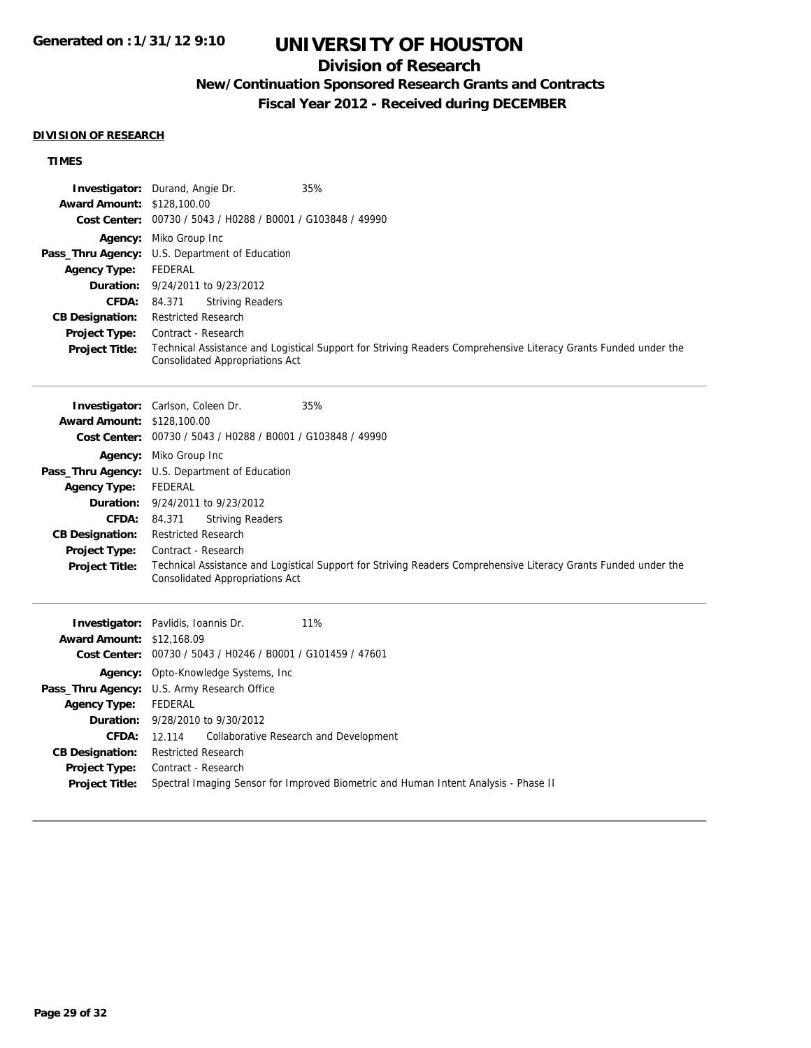## **Division of Research**

## **New/Continuation Sponsored Research Grants and Contracts**

**Fiscal Year 2012 - Received during DECEMBER**

#### **DIVISION OF RESEARCH**

## **TIMES**

|                                   | 35%<br><b>Investigator:</b> Durand, Angie Dr.                                                                                                             |
|-----------------------------------|-----------------------------------------------------------------------------------------------------------------------------------------------------------|
| <b>Award Amount: \$128,100.00</b> |                                                                                                                                                           |
|                                   | Cost Center: 00730 / 5043 / H0288 / B0001 / G103848 / 49990                                                                                               |
|                                   | <b>Agency:</b> Miko Group Inc                                                                                                                             |
|                                   | <b>Pass_Thru Agency:</b> U.S. Department of Education                                                                                                     |
| <b>Agency Type:</b>               | FEDERAL                                                                                                                                                   |
|                                   | <b>Duration:</b> 9/24/2011 to 9/23/2012                                                                                                                   |
| <b>CFDA:</b>                      | <b>Striving Readers</b><br>84.371                                                                                                                         |
| <b>CB Designation:</b>            | <b>Restricted Research</b>                                                                                                                                |
| <b>Project Type:</b>              | Contract - Research                                                                                                                                       |
| <b>Project Title:</b>             | Technical Assistance and Logistical Support for Striving Readers Comprehensive Literacy Grants Funded under the<br><b>Consolidated Appropriations Act</b> |
|                                   |                                                                                                                                                           |

|                                   | 35%<br><b>Investigator:</b> Carlson, Coleen Dr.                                                                                                           |
|-----------------------------------|-----------------------------------------------------------------------------------------------------------------------------------------------------------|
| <b>Award Amount: \$128,100.00</b> |                                                                                                                                                           |
|                                   | Cost Center: 00730 / 5043 / H0288 / B0001 / G103848 / 49990                                                                                               |
|                                   | <b>Agency:</b> Miko Group Inc                                                                                                                             |
|                                   | Pass_Thru Agency: U.S. Department of Education                                                                                                            |
| <b>Agency Type:</b>               | FEDERAL                                                                                                                                                   |
|                                   | <b>Duration:</b> 9/24/2011 to 9/23/2012                                                                                                                   |
| <b>CFDA:</b>                      | <b>Striving Readers</b><br>84.371                                                                                                                         |
| <b>CB Designation:</b>            | Restricted Research                                                                                                                                       |
| <b>Project Type:</b>              | Contract - Research                                                                                                                                       |
| <b>Project Title:</b>             | Technical Assistance and Logistical Support for Striving Readers Comprehensive Literacy Grants Funded under the<br><b>Consolidated Appropriations Act</b> |

| 11%<br><b>Investigator:</b> Pavlidis, Ioannis Dr.                                   |
|-------------------------------------------------------------------------------------|
| <b>Award Amount: \$12,168.09</b>                                                    |
| Cost Center: 00730 / 5043 / H0246 / B0001 / G101459 / 47601                         |
| <b>Agency:</b> Opto-Knowledge Systems, Inc.                                         |
| Pass_Thru Agency: U.S. Army Research Office                                         |
| FEDERAL                                                                             |
| <b>Duration:</b> 9/28/2010 to 9/30/2012                                             |
| <b>CFDA:</b> 12.114 Collaborative Research and Development                          |
| <b>Restricted Research</b>                                                          |
| <b>Project Type:</b> Contract - Research                                            |
| Spectral Imaging Sensor for Improved Biometric and Human Intent Analysis - Phase II |
|                                                                                     |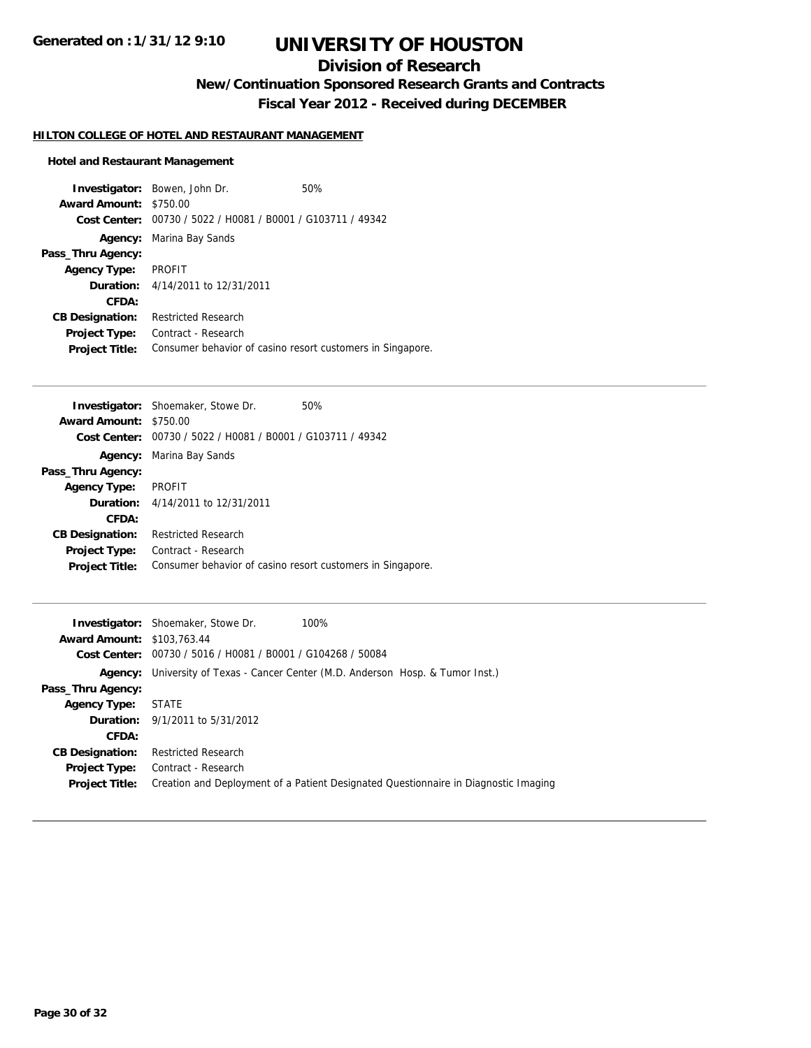## **Division of Research**

**New/Continuation Sponsored Research Grants and Contracts**

**Fiscal Year 2012 - Received during DECEMBER**

#### **HILTON COLLEGE OF HOTEL AND RESTAURANT MANAGEMENT**

## **Hotel and Restaurant Management**

|                               | <b>Investigator:</b> Bowen, John Dr.                       | 50% |
|-------------------------------|------------------------------------------------------------|-----|
| <b>Award Amount: \$750.00</b> |                                                            |     |
| Cost Center:                  | 00730 / 5022 / H0081 / B0001 / G103711 / 49342             |     |
|                               | <b>Agency:</b> Marina Bay Sands                            |     |
| Pass_Thru Agency:             |                                                            |     |
| <b>Agency Type:</b>           | PROFIT                                                     |     |
|                               | <b>Duration:</b> 4/14/2011 to 12/31/2011                   |     |
| CFDA:                         |                                                            |     |
| <b>CB Designation:</b>        | <b>Restricted Research</b>                                 |     |
| <b>Project Type:</b>          | Contract - Research                                        |     |
| <b>Project Title:</b>         | Consumer behavior of casino resort customers in Singapore. |     |

|                        | <b>Investigator:</b> Shoemaker, Stowe Dr.                  | 50% |
|------------------------|------------------------------------------------------------|-----|
| <b>Award Amount:</b>   | \$750.00                                                   |     |
| Cost Center:           | 00730 / 5022 / H0081 / B0001 / G103711 / 49342             |     |
| Agency:                | Marina Bay Sands                                           |     |
| Pass_Thru Agency:      |                                                            |     |
| <b>Agency Type:</b>    | <b>PROFIT</b>                                              |     |
|                        | <b>Duration:</b> 4/14/2011 to 12/31/2011                   |     |
| CFDA:                  |                                                            |     |
| <b>CB Designation:</b> | Restricted Research                                        |     |
| <b>Project Type:</b>   | Contract - Research                                        |     |
| <b>Project Title:</b>  | Consumer behavior of casino resort customers in Singapore. |     |
|                        |                                                            |     |

|                                   | 100%<br><b>Investigator:</b> Shoemaker, Stowe Dr.                                   |
|-----------------------------------|-------------------------------------------------------------------------------------|
| <b>Award Amount: \$103,763.44</b> |                                                                                     |
|                                   | Cost Center: 00730 / 5016 / H0081 / B0001 / G104268 / 50084                         |
|                                   | Agency: University of Texas - Cancer Center (M.D. Anderson Hosp. & Tumor Inst.)     |
| Pass_Thru Agency:                 |                                                                                     |
| <b>Agency Type:</b>               | STATE                                                                               |
|                                   | <b>Duration:</b> 9/1/2011 to 5/31/2012                                              |
| CFDA:                             |                                                                                     |
| <b>CB Designation:</b>            | <b>Restricted Research</b>                                                          |
| Project Type:                     | Contract - Research                                                                 |
| <b>Project Title:</b>             | Creation and Deployment of a Patient Designated Questionnaire in Diagnostic Imaging |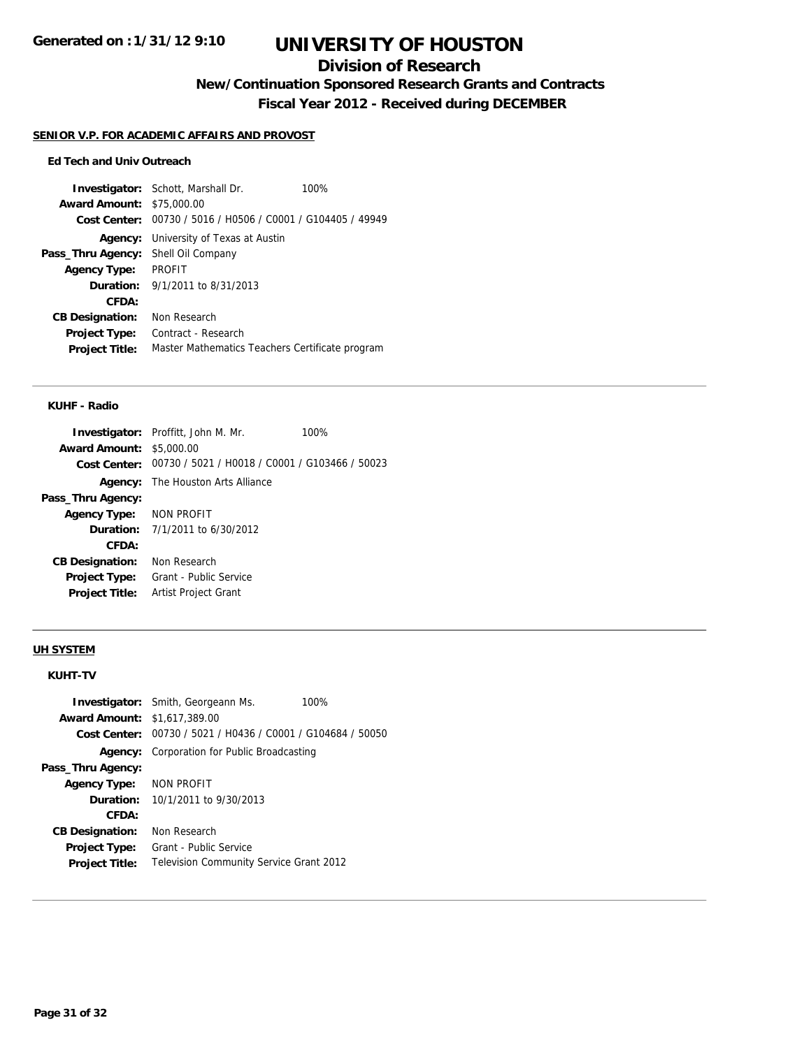## **Division of Research**

**New/Continuation Sponsored Research Grants and Contracts**

**Fiscal Year 2012 - Received during DECEMBER**

#### **SENIOR V.P. FOR ACADEMIC AFFAIRS AND PROVOST**

### **Ed Tech and Univ Outreach**

**Investigator:** Schott, Marshall Dr. 100% **Award Amount:** \$75,000.00 **Cost Center:** 00730 / 5016 / H0506 / C0001 / G104405 / 49949 **Agency:** University of Texas at Austin **Pass\_Thru Agency:** Shell Oil Company **Agency Type:** PROFIT **Duration:** 9/1/2011 to 8/31/2013 **CFDA: CB Designation:** Non Research **Project Type:** Contract - Research **Project Title:** Master Mathematics Teachers Certificate program

### **KUHF - Radio**

|                                 | <b>Investigator:</b> Proffitt, John M. Mr.                  | 100% |
|---------------------------------|-------------------------------------------------------------|------|
| <b>Award Amount: \$5,000.00</b> |                                                             |      |
|                                 | Cost Center: 00730 / 5021 / H0018 / C0001 / G103466 / 50023 |      |
|                                 | <b>Agency:</b> The Houston Arts Alliance                    |      |
| Pass_Thru Agency:               |                                                             |      |
| Agency Type: NON PROFIT         |                                                             |      |
|                                 | <b>Duration:</b> 7/1/2011 to 6/30/2012                      |      |
| CFDA:                           |                                                             |      |
| <b>CB Designation:</b>          | Non Research                                                |      |
| <b>Project Type:</b>            | Grant - Public Service                                      |      |
| <b>Project Title:</b>           | Artist Project Grant                                        |      |
|                                 |                                                             |      |

#### **UH SYSTEM**

#### **KUHT-TV**

|                                     | <b>Investigator:</b> Smith, Georgeann Ms.                   | 100% |
|-------------------------------------|-------------------------------------------------------------|------|
| <b>Award Amount: \$1,617,389.00</b> |                                                             |      |
|                                     | Cost Center: 00730 / 5021 / H0436 / C0001 / G104684 / 50050 |      |
|                                     | <b>Agency:</b> Corporation for Public Broadcasting          |      |
| Pass_Thru Agency:                   |                                                             |      |
| <b>Agency Type:</b>                 | NON PROFIT                                                  |      |
|                                     | <b>Duration:</b> $10/1/2011$ to $9/30/2013$                 |      |
| CFDA:                               |                                                             |      |
| <b>CB Designation:</b>              | Non Research                                                |      |
| <b>Project Type:</b>                | Grant - Public Service                                      |      |
| <b>Project Title:</b>               | <b>Television Community Service Grant 2012</b>              |      |
|                                     |                                                             |      |